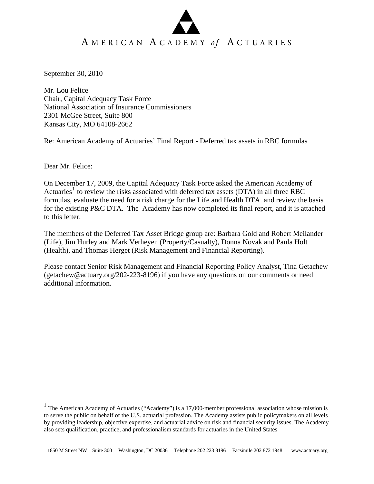September 30, 2010

Mr. Lou Felice Chair, Capital Adequacy Task Force National Association of Insurance Commissioners 2301 McGee Street, Suite 800 Kansas City, MO 64108-2662

Re: American Academy of Actuaries' Final Report - Deferred tax assets in RBC formulas

Dear Mr. Felice:

 $\overline{a}$ 

On December 17, 2009, the Capital Adequacy Task Force asked the American Academy of Actuaries<sup>[1](#page-0-0)</sup> to review the risks associated with deferred tax assets (DTA) in all three RBC formulas, evaluate the need for a risk charge for the Life and Health DTA. and review the basis for the existing P&C DTA. The Academy has now completed its final report, and it is attached to this letter.

The members of the Deferred Tax Asset Bridge group are: Barbara Gold and Robert Meilander (Life), Jim Hurley and Mark Verheyen (Property/Casualty), Donna Novak and Paula Holt (Health), and Thomas Herget (Risk Management and Financial Reporting).

Please contact Senior Risk Management and Financial Reporting Policy Analyst, Tina Getachew (getachew@actuary.org/202-223-8196) if you have any questions on our comments or need additional information.

<span id="page-0-0"></span> $1$  The American Academy of Actuaries ("Academy") is a 17,000-member professional association whose mission is to serve the public on behalf of the U.S. actuarial profession. The Academy assists public policymakers on all levels by providing leadership, objective expertise, and actuarial advice on risk and financial security issues. The Academy also sets qualification, practice, and professionalism standards for actuaries in the United States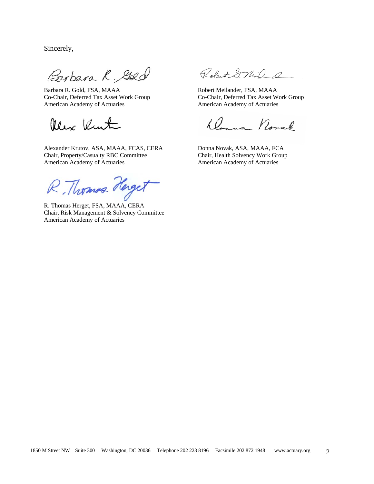Sincerely,

Barbara R. Gole Robert 2740

American Academy of Actuaries American Academy of Actuaries

Alex Kunt

 Alexander Krutov, ASA, MAAA, FCAS, CERA Donna Novak, ASA, MAAA, FCA Chair, Property/Casualty RBC Committee Chair, Health Solvency Work Group American Academy of Actuaries **American Academy of Actuaries** American Academy of Actuaries

R. Thomas Herget

Chair, Risk Management & Solvency Committee American Academy of Actuaries

Robert GMiD

Co-Chair, Deferred Tax Asset Work Group Co-Chair, Deferred Tax Asset Work Group

Donna Noral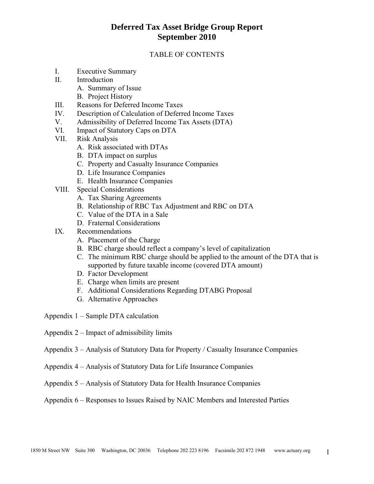### TABLE OF CONTENTS

- I. Executive Summary
- II. Introduction
	- A. Summary of Issue
	- B. Project History
- III. Reasons for Deferred Income Taxes
- IV. Description of Calculation of Deferred Income Taxes
- V. Admissibility of Deferred Income Tax Assets (DTA)
- VI. Impact of Statutory Caps on DTA
- VII. Risk Analysis
	- A. Risk associated with DTAs
	- B. DTA impact on surplus
	- C. Property and Casualty Insurance Companies
	- D. Life Insurance Companies
	- E. Health Insurance Companies
- VIII. Special Considerations
	- A. Tax Sharing Agreements
	- B. Relationship of RBC Tax Adjustment and RBC on DTA
	- C. Value of the DTA in a Sale
	- D. Fraternal Considerations
- IX. Recommendations
	- A. Placement of the Charge
	- B. RBC charge should reflect a company's level of capitalization
	- C. The minimum RBC charge should be applied to the amount of the DTA that is supported by future taxable income (covered DTA amount)
	- D. Factor Development
	- E. Charge when limits are present
	- F. Additional Considerations Regarding DTABG Proposal
	- G. Alternative Approaches
- Appendix 1 Sample DTA calculation
- Appendix 2 Impact of admissibility limits
- Appendix 3 Analysis of Statutory Data for Property / Casualty Insurance Companies
- Appendix 4 Analysis of Statutory Data for Life Insurance Companies
- Appendix 5 Analysis of Statutory Data for Health Insurance Companies

Appendix 6 – Responses to Issues Raised by NAIC Members and Interested Parties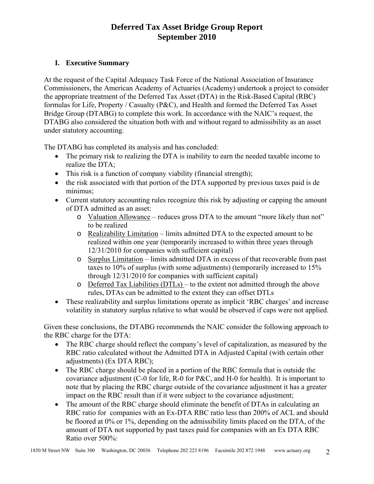### **I. Executive Summary**

At the request of the Capital Adequacy Task Force of the National Association of Insurance Commissioners, the American Academy of Actuaries (Academy) undertook a project to consider the appropriate treatment of the Deferred Tax Asset (DTA) in the Risk-Based Capital (RBC) formulas for Life, Property / Casualty (P&C), and Health and formed the Deferred Tax Asset Bridge Group (DTABG) to complete this work. In accordance with the NAIC's request, the DTABG also considered the situation both with and without regard to admissibility as an asset under statutory accounting.

The DTABG has completed its analysis and has concluded:

- The primary risk to realizing the DTA is inability to earn the needed taxable income to realize the DTA;
- This risk is a function of company viability (financial strength);
- the risk associated with that portion of the DTA supported by previous taxes paid is de minimus;
- Current statutory accounting rules recognize this risk by adjusting or capping the amount of DTA admitted as an asset:
	- o Valuation Allowance reduces gross DTA to the amount "more likely than not" to be realized
	- o Realizability Limitation limits admitted DTA to the expected amount to be realized within one year (temporarily increased to within three years through 12/31/2010 for companies with sufficient capital)
	- o Surplus Limitation limits admitted DTA in excess of that recoverable from past taxes to 10% of surplus (with some adjustments) (temporarily increased to 15% through 12/31/2010 for companies with sufficient capital)
	- o Deferred Tax Liabilities (DTLs) to the extent not admitted through the above rules, DTAs can be admitted to the extent they can offset DTLs
- These realizability and surplus limitations operate as implicit 'RBC charges' and increase volatility in statutory surplus relative to what would be observed if caps were not applied.

Given these conclusions, the DTABG recommends the NAIC consider the following approach to the RBC charge for the DTA:

- The RBC charge should reflect the company's level of capitalization, as measured by the RBC ratio calculated without the Admitted DTA in Adjusted Capital (with certain other adjustments) (Ex DTA RBC);
- The RBC charge should be placed in a portion of the RBC formula that is outside the covariance adjustment (C-0 for life, R-0 for P&C, and H-0 for health). It is important to note that by placing the RBC charge outside of the covariance adjustment it has a greater impact on the RBC result than if it were subject to the covariance adjustment;
- The amount of the RBC charge should eliminate the benefit of DTAs in calculating an RBC ratio for companies with an Ex-DTA RBC ratio less than 200% of ACL and should be floored at 0% or 1%, depending on the admissibility limits placed on the DTA, of the amount of DTA not supported by past taxes paid for companies with an Ex DTA RBC Ratio over 500%: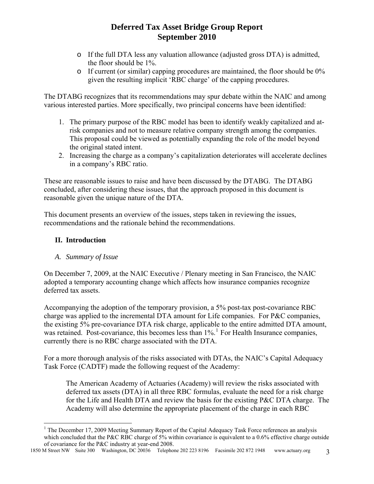- o If the full DTA less any valuation allowance (adjusted gross DTA) is admitted, the floor should be 1%.
- o If current (or similar) capping procedures are maintained, the floor should be 0% given the resulting implicit 'RBC charge' of the capping procedures.

The DTABG recognizes that its recommendations may spur debate within the NAIC and among various interested parties. More specifically, two principal concerns have been identified:

- 1. The primary purpose of the RBC model has been to identify weakly capitalized and atrisk companies and not to measure relative company strength among the companies. This proposal could be viewed as potentially expanding the role of the model beyond the original stated intent.
- 2. Increasing the charge as a company's capitalization deteriorates will accelerate declines in a company's RBC ratio.

These are reasonable issues to raise and have been discussed by the DTABG. The DTABG concluded, after considering these issues, that the approach proposed in this document is reasonable given the unique nature of the DTA.

This document presents an overview of the issues, steps taken in reviewing the issues, recommendations and the rationale behind the recommendations.

### **II. Introduction**

 $\overline{a}$ 

### *A. Summary of Issue*

On December 7, 2009, at the NAIC Executive / Plenary meeting in San Francisco, the NAIC adopted a temporary accounting change which affects how insurance companies recognize deferred tax assets.

Accompanying the adoption of the temporary provision, a 5% post-tax post-covariance RBC charge was applied to the incremental DTA amount for Life companies. For P&C companies, the existing 5% pre-covariance DTA risk charge, applicable to the entire admitted DTA amount, was retained. Post-covariance, this becomes less than [1](#page-4-0)%.<sup>1</sup> For Health Insurance companies, currently there is no RBC charge associated with the DTA.

For a more thorough analysis of the risks associated with DTAs, the NAIC's Capital Adequacy Task Force (CADTF) made the following request of the Academy:

The American Academy of Actuaries (Academy) will review the risks associated with deferred tax assets (DTA) in all three RBC formulas, evaluate the need for a risk charge for the Life and Health DTA and review the basis for the existing P&C DTA charge. The Academy will also determine the appropriate placement of the charge in each RBC

<sup>&</sup>lt;sup>1</sup> The December 17, 2009 Meeting Summary Report of the Capital Adequacy Task Force references an analysis which concluded that the P&C RBC charge of 5% within covariance is equivalent to a 0.6% effective charge outside of covariance for the P&C industry at year-end 2008.

<span id="page-4-0"></span><sup>1850</sup> M Street NW Suite 300 Washington, DC 20036 Telephone 202 223 8196 Facsimile 202 872 1948 www.actuary.org 3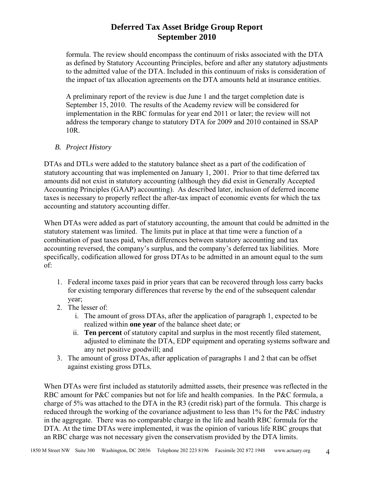formula. The review should encompass the continuum of risks associated with the DTA as defined by Statutory Accounting Principles, before and after any statutory adjustments to the admitted value of the DTA. Included in this continuum of risks is consideration of the impact of tax allocation agreements on the DTA amounts held at insurance entities.

A preliminary report of the review is due June 1 and the target completion date is September 15, 2010. The results of the Academy review will be considered for implementation in the RBC formulas for year end 2011 or later; the review will not address the temporary change to statutory DTA for 2009 and 2010 contained in SSAP 10R.

### *B. Project History*

DTAs and DTLs were added to the statutory balance sheet as a part of the codification of statutory accounting that was implemented on January 1, 2001. Prior to that time deferred tax amounts did not exist in statutory accounting (although they did exist in Generally Accepted Accounting Principles (GAAP) accounting). As described later, inclusion of deferred income taxes is necessary to properly reflect the after-tax impact of economic events for which the tax accounting and statutory accounting differ.

When DTAs were added as part of statutory accounting, the amount that could be admitted in the statutory statement was limited. The limits put in place at that time were a function of a combination of past taxes paid, when differences between statutory accounting and tax accounting reversed, the company's surplus, and the company's deferred tax liabilities. More specifically, codification allowed for gross DTAs to be admitted in an amount equal to the sum of:

- 1. Federal income taxes paid in prior years that can be recovered through loss carry backs for existing temporary differences that reverse by the end of the subsequent calendar year;
- 2. The lesser of:
	- i. The amount of gross DTAs, after the application of paragraph 1, expected to be realized within **one year** of the balance sheet date; or
	- ii. **Ten percent** of statutory capital and surplus in the most recently filed statement, adjusted to eliminate the DTA, EDP equipment and operating systems software and any net positive goodwill; and
- 3. The amount of gross DTAs, after application of paragraphs 1 and 2 that can be offset against existing gross DTLs.

When DTAs were first included as statutorily admitted assets, their presence was reflected in the RBC amount for P&C companies but not for life and health companies. In the P&C formula, a charge of 5% was attached to the DTA in the R3 (credit risk) part of the formula. This charge is reduced through the working of the covariance adjustment to less than 1% for the P&C industry in the aggregate. There was no comparable charge in the life and health RBC formula for the DTA. At the time DTAs were implemented, it was the opinion of various life RBC groups that an RBC charge was not necessary given the conservatism provided by the DTA limits.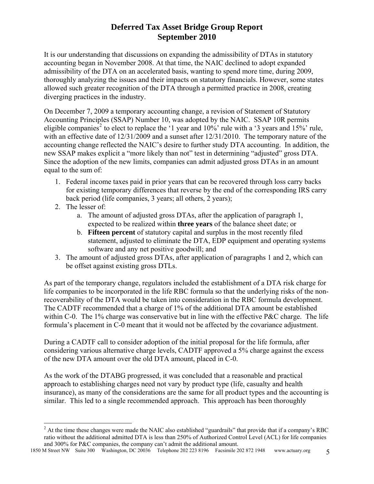It is our understanding that discussions on expanding the admissibility of DTAs in statutory accounting began in November 2008. At that time, the NAIC declined to adopt expanded admissibility of the DTA on an accelerated basis, wanting to spend more time, during 2009, thoroughly analyzing the issues and their impacts on statutory financials. However, some states allowed such greater recognition of the DTA through a permitted practice in 2008, creating diverging practices in the industry.

On December 7, 2009 a temporary accounting change, a revision of Statement of Statutory Accounting Principles (SSAP) Number 10, was adopted by the NAIC. SSAP 10R permits eligible companies<sup>[2](#page-6-0)</sup> to elect to replace the '1 year and  $10\%$ ' rule with a '3 years and  $15\%$ ' rule, with an effective date of 12/31/2009 and a sunset after 12/31/2010. The temporary nature of the accounting change reflected the NAIC's desire to further study DTA accounting. In addition, the new SSAP makes explicit a "more likely than not" test in determining "adjusted" gross DTA. Since the adoption of the new limits, companies can admit adjusted gross DTAs in an amount equal to the sum of:

- 1. Federal income taxes paid in prior years that can be recovered through loss carry backs for existing temporary differences that reverse by the end of the corresponding IRS carry back period (life companies, 3 years; all others, 2 years);
- 2. The lesser of:
	- a. The amount of adjusted gross DTAs, after the application of paragraph 1, expected to be realized within **three years** of the balance sheet date; or
	- b. **Fifteen percent** of statutory capital and surplus in the most recently filed statement, adjusted to eliminate the DTA, EDP equipment and operating systems software and any net positive goodwill; and
- 3. The amount of adjusted gross DTAs, after application of paragraphs 1 and 2, which can be offset against existing gross DTLs.

As part of the temporary change, regulators included the establishment of a DTA risk charge for life companies to be incorporated in the life RBC formula so that the underlying risks of the nonrecoverability of the DTA would be taken into consideration in the RBC formula development. The CADTF recommended that a charge of 1% of the additional DTA amount be established within C-0. The 1% charge was conservative but in line with the effective P&C charge. The life formula's placement in C-0 meant that it would not be affected by the covariance adjustment.

During a CADTF call to consider adoption of the initial proposal for the life formula, after considering various alternative charge levels, CADTF approved a 5% charge against the excess of the new DTA amount over the old DTA amount, placed in C-0.

As the work of the DTABG progressed, it was concluded that a reasonable and practical approach to establishing charges need not vary by product type (life, casualty and health insurance), as many of the considerations are the same for all product types and the accounting is similar. This led to a single recommended approach. This approach has been thoroughly

<span id="page-6-0"></span> $\overline{a}$  $2^2$  At the time these changes were made the NAIC also established "guardrails" that provide that if a company's RBC ratio without the additional admitted DTA is less than 250% of Authorized Control Level (ACL) for life companies and 300% for P&C companies, the company can't admit the additional amount.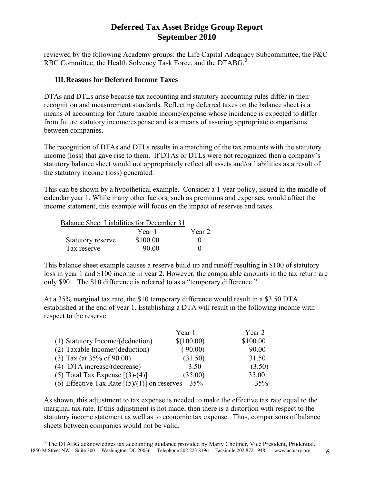reviewed by the following Academy groups: the Life Capital Adequacy Subcommittee, the P&C RBC Committee, the Health Solvency Task Force, and the DTABG.<sup>[3](#page-7-0)</sup>

### **III.Reasons for Deferred Income Taxes**

DTAs and DTLs arise because tax accounting and statutory accounting rules differ in their recognition and measurement standards. Reflecting deferred taxes on the balance sheet is a means of accounting for future taxable income/expense whose incidence is expected to differ from future statutory income/expense and is a means of assuring appropriate comparisons between companies.

The recognition of DTAs and DTLs results in a matching of the tax amounts with the statutory income (loss) that gave rise to them. If DTAs or DTLs were not recognized then a company's statutory balance sheet would not appropriately reflect all assets and/or liabilities as a result of the statutory income (loss) generated.

This can be shown by a hypothetical example. Consider a 1-year policy, issued in the middle of calendar year 1. While many other factors, such as premiums and expenses, would affect the income statement, this example will focus on the impact of reserves and taxes.

| Balance Sheet Liabilities for December 31 |          |        |
|-------------------------------------------|----------|--------|
|                                           | Year 1   | Year 2 |
| Statutory reserve                         | \$100.00 |        |
| Tax reserve                               | 90.00    |        |

This balance sheet example causes a reserve build up and runoff resulting in \$100 of statutory loss in year 1 and \$100 income in year 2. However, the comparable amounts in the tax return are only \$90. The \$10 difference is referred to as a "temporary difference."

At a 35% marginal tax rate, the \$10 temporary difference would result in a \$3.50 DTA established at the end of year 1. Establishing a DTA will result in the following income with respect to the reserve:

|                                                | Year 1     | Year 2   |
|------------------------------------------------|------------|----------|
| (1) Statutory Income/(deduction)               | \$(100.00) | \$100.00 |
| (2) Taxable Income/(deduction)                 | (90.00)    | 90.00    |
| $(3)$ Tax (at 35% of 90.00)                    | (31.50)    | 31.50    |
| (4) DTA increase/(decrease)                    | 3.50       | (3.50)   |
| (5) Total Tax Expense $[(3)-(4)]$              | (35.00)    | 35.00    |
| (6) Effective Tax Rate $[(5)/(1)]$ on reserves | 35%        | 35%      |

As shown, this adjustment to tax expense is needed to make the effective tax rate equal to the marginal tax rate. If this adjustment is not made, then there is a distortion with respect to the statutory income statement as well as to economic tax expense. Thus, comparisons of balance sheets between companies would not be valid.

1

<span id="page-7-0"></span><sup>1850</sup> M Street NW Suite 300 Washington, DC 20036 Telephone 202 223 8196 Facsimile 202 872 1948 www.actuary.org 6 <sup>3</sup> The DTABG acknowledges tax accounting guidance provided by Marty Chotiner, Vice President, Prudential.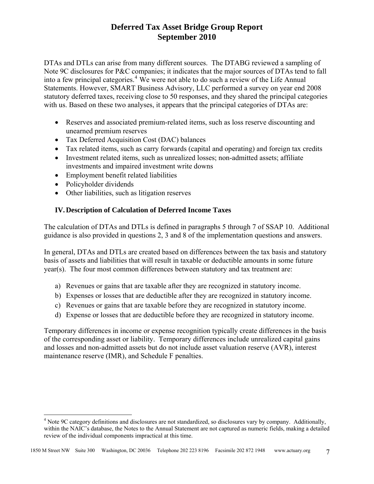DTAs and DTLs can arise from many different sources. The DTABG reviewed a sampling of Note 9C disclosures for P&C companies; it indicates that the major sources of DTAs tend to fall into a few principal categories.<sup>[4](#page-8-0)</sup> We were not able to do such a review of the Life Annual Statements. However, SMART Business Advisory, LLC performed a survey on year end 2008 statutory deferred taxes, receiving close to 50 responses, and they shared the principal categories with us. Based on these two analyses, it appears that the principal categories of DTAs are:

- Reserves and associated premium-related items, such as loss reserve discounting and unearned premium reserves
- Tax Deferred Acquisition Cost (DAC) balances
- Tax related items, such as carry forwards (capital and operating) and foreign tax credits
- Investment related items, such as unrealized losses; non-admitted assets; affiliate investments and impaired investment write downs
- Employment benefit related liabilities
- Policyholder dividends

 $\overline{a}$ 

• Other liabilities, such as litigation reserves

### **IV.Description of Calculation of Deferred Income Taxes**

The calculation of DTAs and DTLs is defined in paragraphs 5 through 7 of SSAP 10. Additional guidance is also provided in questions 2, 3 and 8 of the implementation questions and answers.

In general, DTAs and DTLs are created based on differences between the tax basis and statutory basis of assets and liabilities that will result in taxable or deductible amounts in some future year(s). The four most common differences between statutory and tax treatment are:

- a) Revenues or gains that are taxable after they are recognized in statutory income.
- b) Expenses or losses that are deductible after they are recognized in statutory income.
- c) Revenues or gains that are taxable before they are recognized in statutory income.
- d) Expense or losses that are deductible before they are recognized in statutory income.

Temporary differences in income or expense recognition typically create differences in the basis of the corresponding asset or liability. Temporary differences include unrealized capital gains and losses and non-admitted assets but do not include asset valuation reserve (AVR), interest maintenance reserve (IMR), and Schedule F penalties.

<span id="page-8-0"></span><sup>&</sup>lt;sup>4</sup> Note 9C category definitions and disclosures are not standardized, so disclosures vary by company. Additionally, within the NAIC's database, the Notes to the Annual Statement are not captured as numeric fields, making a detailed review of the individual components impractical at this time.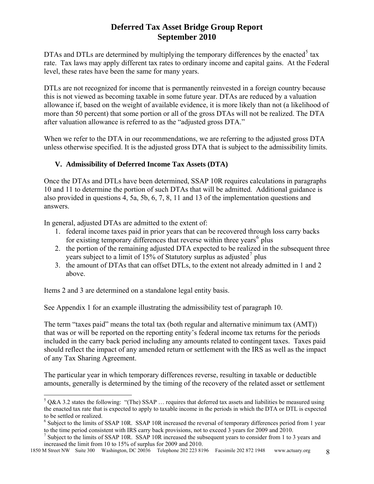DTAs and DTLs are determined by multiplying the temporary differences by the enacted<sup>[5](#page-9-0)</sup> tax rate. Tax laws may apply different tax rates to ordinary income and capital gains. At the Federal level, these rates have been the same for many years.

DTLs are not recognized for income that is permanently reinvested in a foreign country because this is not viewed as becoming taxable in some future year. DTAs are reduced by a valuation allowance if, based on the weight of available evidence, it is more likely than not (a likelihood of more than 50 percent) that some portion or all of the gross DTAs will not be realized. The DTA after valuation allowance is referred to as the "adjusted gross DTA."

When we refer to the DTA in our recommendations, we are referring to the adjusted gross DTA unless otherwise specified. It is the adjusted gross DTA that is subject to the admissibility limits.

### **V. Admissibility of Deferred Income Tax Assets (DTA)**

Once the DTAs and DTLs have been determined, SSAP 10R requires calculations in paragraphs 10 and 11 to determine the portion of such DTAs that will be admitted. Additional guidance is also provided in questions 4, 5a, 5b, 6, 7, 8, 11 and 13 of the implementation questions and answers.

In general, adjusted DTAs are admitted to the extent of:

- 1. federal income taxes paid in prior years that can be recovered through loss carry backs for existing temporary differences that reverse within three years<sup>[6](#page-9-1)</sup> plus
- 2. the portion of the remaining adjusted DTA expected to be realized in the subsequent three years subject to a limit of 15% of Statutory surplus as adjusted<sup>[7](#page-9-2)</sup> plus
- 3. the amount of DTAs that can offset DTLs, to the extent not already admitted in 1 and 2 above.

Items 2 and 3 are determined on a standalone legal entity basis.

 $\overline{a}$ 

See Appendix 1 for an example illustrating the admissibility test of paragraph 10.

The term "taxes paid" means the total tax (both regular and alternative minimum tax (AMT)) that was or will be reported on the reporting entity's federal income tax returns for the periods included in the carry back period including any amounts related to contingent taxes. Taxes paid should reflect the impact of any amended return or settlement with the IRS as well as the impact of any Tax Sharing Agreement.

The particular year in which temporary differences reverse, resulting in taxable or deductible amounts, generally is determined by the timing of the recovery of the related asset or settlement

<span id="page-9-0"></span> $5$  Q&A 3.2 states the following: "(The) SSAP ... requires that deferred tax assets and liabilities be measured using the enacted tax rate that is expected to apply to taxable income in the periods in which the DTA or DTL is expected to be settled or realized.

<sup>&</sup>lt;sup>6</sup> Subject to the limits of SSAP 10R. SSAP 10R increased the reversal of temporary differences period from 1 year to the time period consistent with IRS carry back provisions, not to exceed 3 years for 2009 and 2010.

<span id="page-9-2"></span><span id="page-9-1"></span><sup>&</sup>lt;sup>7</sup> Subject to the limits of SSAP 10R. SSAP 10R increased the subsequent years to consider from 1 to 3 years and increased the limit from 10 to 15% of surplus for 2009 and 2010.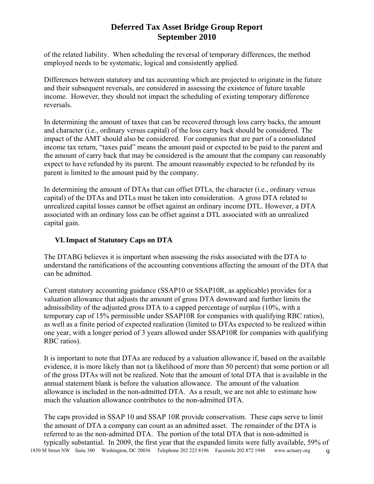of the related liability. When scheduling the reversal of temporary differences, the method employed needs to be systematic, logical and consistently applied.

Differences between statutory and tax accounting which are projected to originate in the future and their subsequent reversals, are considered in assessing the existence of future taxable income. However, they should not impact the scheduling of existing temporary difference reversals.

In determining the amount of taxes that can be recovered through loss carry backs, the amount and character (i.e., ordinary versus capital) of the loss carry back should be considered. The impact of the AMT should also be considered. For companies that are part of a consolidated income tax return, "taxes paid" means the amount paid or expected to be paid to the parent and the amount of carry back that may be considered is the amount that the company can reasonably expect to have refunded by its parent. The amount reasonably expected to be refunded by its parent is limited to the amount paid by the company.

In determining the amount of DTAs that can offset DTLs, the character (i.e., ordinary versus capital) of the DTAs and DTLs must be taken into consideration. A gross DTA related to unrealized capital losses cannot be offset against an ordinary income DTL. However, a DTA associated with an ordinary loss can be offset against a DTL associated with an unrealized capital gain.

### **VI.Impact of Statutory Caps on DTA**

The DTABG believes it is important when assessing the risks associated with the DTA to understand the ramifications of the accounting conventions affecting the amount of the DTA that can be admitted.

Current statutory accounting guidance (SSAP10 or SSAP10R, as applicable) provides for a valuation allowance that adjusts the amount of gross DTA downward and further limits the admissibility of the adjusted gross DTA to a capped percentage of surplus (10%, with a temporary cap of 15% permissible under SSAP10R for companies with qualifying RBC ratios), as well as a finite period of expected realization (limited to DTAs expected to be realized within one year, with a longer period of 3 years allowed under SSAP10R for companies with qualifying RBC ratios).

It is important to note that DTAs are reduced by a valuation allowance if, based on the available evidence, it is more likely than not (a likelihood of more than 50 percent) that some portion or all of the gross DTAs will not be realized. Note that the amount of total DTA that is available in the annual statement blank is before the valuation allowance. The amount of the valuation allowance is included in the non-admitted DTA. As a result, we are not able to estimate how much the valuation allowance contributes to the non-admitted DTA.

1850 M Street NW Suite 300 Washington, DC 20036 Telephone 202 223 8196 Facsimile 202 872 1948 www.actuary.org 9 The caps provided in SSAP 10 and SSAP 10R provide conservatism. These caps serve to limit the amount of DTA a company can count as an admitted asset. The remainder of the DTA is referred to as the non-admitted DTA. The portion of the total DTA that is non-admitted is typically substantial. In 2009, the first year that the expanded limits were fully available, 59% of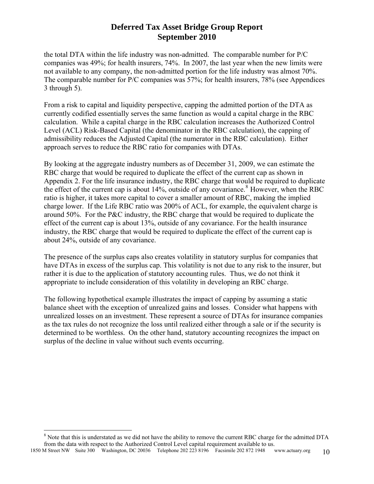the total DTA within the life industry was non-admitted. The comparable number for P/C companies was 49%; for health insurers, 74%. In 2007, the last year when the new limits were not available to any company, the non-admitted portion for the life industry was almost 70%. The comparable number for P/C companies was 57%; for health insurers, 78% (see Appendices 3 through 5).

From a risk to capital and liquidity perspective, capping the admitted portion of the DTA as currently codified essentially serves the same function as would a capital charge in the RBC calculation. While a capital charge in the RBC calculation increases the Authorized Control Level (ACL) Risk-Based Capital (the denominator in the RBC calculation), the capping of admissibility reduces the Adjusted Capital (the numerator in the RBC calculation). Either approach serves to reduce the RBC ratio for companies with DTAs.

By looking at the aggregate industry numbers as of December 31, 2009, we can estimate the RBC charge that would be required to duplicate the effect of the current cap as shown in Appendix 2. For the life insurance industry, the RBC charge that would be required to duplicate the effect of the current cap is about 14%, outside of any covariance.<sup>[8](#page-11-0)</sup> However, when the RBC ratio is higher, it takes more capital to cover a smaller amount of RBC, making the implied charge lower. If the Life RBC ratio was 200% of ACL, for example, the equivalent charge is around 50%. For the P&C industry, the RBC charge that would be required to duplicate the effect of the current cap is about 13%, outside of any covariance. For the health insurance industry, the RBC charge that would be required to duplicate the effect of the current cap is about 24%, outside of any covariance.

The presence of the surplus caps also creates volatility in statutory surplus for companies that have DTAs in excess of the surplus cap. This volatility is not due to any risk to the insurer, but rather it is due to the application of statutory accounting rules. Thus, we do not think it appropriate to include consideration of this volatility in developing an RBC charge.

The following hypothetical example illustrates the impact of capping by assuming a static balance sheet with the exception of unrealized gains and losses. Consider what happens with unrealized losses on an investment. These represent a source of DTAs for insurance companies as the tax rules do not recognize the loss until realized either through a sale or if the security is determined to be worthless. On the other hand, statutory accounting recognizes the impact on surplus of the decline in value without such events occurring.

 $\overline{a}$ 

<sup>&</sup>lt;sup>8</sup> Note that this is understated as we did not have the ability to remove the current RBC charge for the admitted DTA from the data with respect to the Authorized Control Level capital requirement available to us.

<span id="page-11-0"></span><sup>1850</sup> M Street NW Suite 300 Washington, DC 20036 Telephone 202 223 8196 Facsimile 202 872 1948 www.actuary.org 10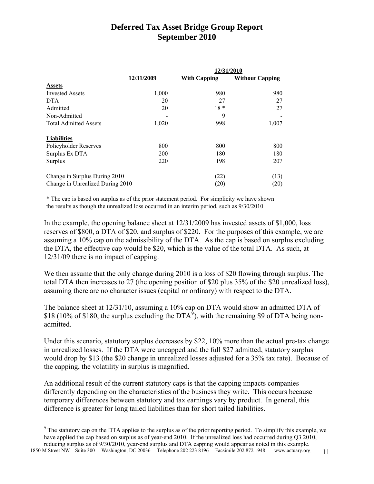|                                  |            | 12/31/2010          |                        |
|----------------------------------|------------|---------------------|------------------------|
|                                  | 12/31/2009 | <b>With Capping</b> | <b>Without Capping</b> |
| <b>Assets</b>                    |            |                     |                        |
| <b>Invested Assets</b>           | 1,000      | 980                 | 980                    |
| <b>DTA</b>                       | 20         | 27                  | 27                     |
| Admitted                         | 20         | $18*$               | 27                     |
| Non-Admitted                     |            | 9                   |                        |
| <b>Total Admitted Assets</b>     | 1,020      | 998                 | 1,007                  |
| <b>Liabilities</b>               |            |                     |                        |
| Policyholder Reserves            | 800        | 800                 | 800                    |
| Surplus Ex DTA                   | 200        | 180                 | 180                    |
| Surplus                          | 220        | 198                 | 207                    |
| Change in Surplus During 2010    |            | (22)                | (13)                   |
| Change in Unrealized During 2010 |            | (20)                | (20)                   |

\* The cap is based on surplus as of the prior statement period. For simplicity we have shown the results as though the unrealized loss occurred in an interim period, such as 9/30/2010

In the example, the opening balance sheet at 12/31/2009 has invested assets of \$1,000, loss reserves of \$800, a DTA of \$20, and surplus of \$220. For the purposes of this example, we are assuming a 10% cap on the admissibility of the DTA. As the cap is based on surplus excluding the DTA, the effective cap would be \$20, which is the value of the total DTA. As such, at 12/31/09 there is no impact of capping.

We then assume that the only change during 2010 is a loss of \$20 flowing through surplus. The total DTA then increases to 27 (the opening position of \$20 plus 35% of the \$20 unrealized loss), assuming there are no character issues (capital or ordinary) with respect to the DTA.

The balance sheet at 12/31/10, assuming a 10% cap on DTA would show an admitted DTA of \$18 (10% of \$180, the surplus excluding the DTA<sup>[9](#page-12-0)</sup>), with the remaining \$9 of DTA being nonadmitted.

Under this scenario, statutory surplus decreases by \$22, 10% more than the actual pre-tax change in unrealized losses. If the DTA were uncapped and the full \$27 admitted, statutory surplus would drop by \$13 (the \$20 change in unrealized losses adjusted for a 35% tax rate). Because of the capping, the volatility in surplus is magnified.

An additional result of the current statutory caps is that the capping impacts companies differently depending on the characteristics of the business they write. This occurs because temporary differences between statutory and tax earnings vary by product. In general, this difference is greater for long tailed liabilities than for short tailed liabilities.

 $\overline{a}$ 

 $9<sup>9</sup>$  The statutory cap on the DTA applies to the surplus as of the prior reporting period. To simplify this example, we have applied the cap based on surplus as of year-end 2010. If the unrealized loss had occurred during Q3 2010, reducing surplus as of 9/30/2010, year-end surplus and DTA capping would appear as noted in this example.

<span id="page-12-0"></span><sup>1850</sup> M Street NW Suite 300 Washington, DC 20036 Telephone 202 223 8196 Facsimile 202 872 1948 www.actuary.org 11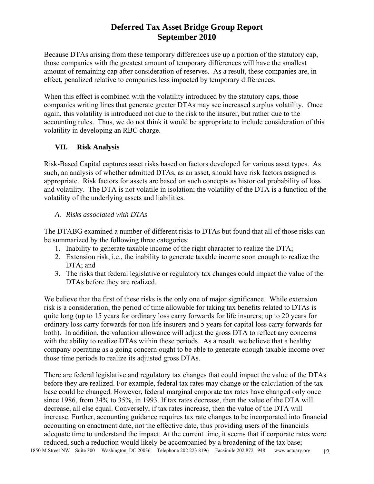Because DTAs arising from these temporary differences use up a portion of the statutory cap, those companies with the greatest amount of temporary differences will have the smallest amount of remaining cap after consideration of reserves. As a result, these companies are, in effect, penalized relative to companies less impacted by temporary differences.

When this effect is combined with the volatility introduced by the statutory caps, those companies writing lines that generate greater DTAs may see increased surplus volatility. Once again, this volatility is introduced not due to the risk to the insurer, but rather due to the accounting rules. Thus, we do not think it would be appropriate to include consideration of this volatility in developing an RBC charge.

### **VII. Risk Analysis**

Risk-Based Capital captures asset risks based on factors developed for various asset types. As such, an analysis of whether admitted DTAs, as an asset, should have risk factors assigned is appropriate. Risk factors for assets are based on such concepts as historical probability of loss and volatility. The DTA is not volatile in isolation; the volatility of the DTA is a function of the volatility of the underlying assets and liabilities.

### *A. Risks associated with DTAs*

The DTABG examined a number of different risks to DTAs but found that all of those risks can be summarized by the following three categories:

- 1. Inability to generate taxable income of the right character to realize the DTA;
- 2. Extension risk, i.e., the inability to generate taxable income soon enough to realize the DTA; and
- 3. The risks that federal legislative or regulatory tax changes could impact the value of the DTAs before they are realized.

We believe that the first of these risks is the only one of major significance. While extension risk is a consideration, the period of time allowable for taking tax benefits related to DTAs is quite long (up to 15 years for ordinary loss carry forwards for life insurers; up to 20 years for ordinary loss carry forwards for non life insurers and 5 years for capital loss carry forwards for both). In addition, the valuation allowance will adjust the gross DTA to reflect any concerns with the ability to realize DTAs within these periods. As a result, we believe that a healthy company operating as a going concern ought to be able to generate enough taxable income over those time periods to realize its adjusted gross DTAs.

There are federal legislative and regulatory tax changes that could impact the value of the DTAs before they are realized. For example, federal tax rates may change or the calculation of the tax base could be changed. However, federal marginal corporate tax rates have changed only once since 1986, from 34% to 35%, in 1993. If tax rates decrease, then the value of the DTA will decrease, all else equal. Conversely, if tax rates increase, then the value of the DTA will increase. Further, accounting guidance requires tax rate changes to be incorporated into financial accounting on enactment date, not the effective date, thus providing users of the financials adequate time to understand the impact. At the current time, it seems that if corporate rates were reduced, such a reduction would likely be accompanied by a broadening of the tax base;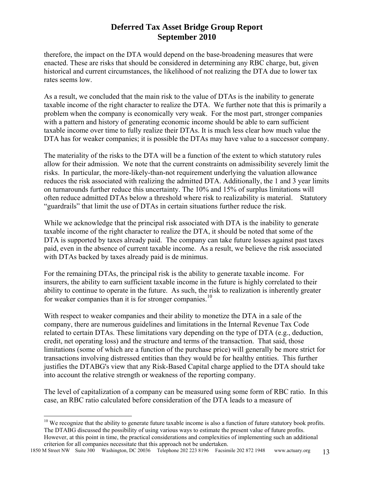therefore, the impact on the DTA would depend on the base-broadening measures that were enacted. These are risks that should be considered in determining any RBC charge, but, given historical and current circumstances, the likelihood of not realizing the DTA due to lower tax rates seems low.

As a result, we concluded that the main risk to the value of DTAs is the inability to generate taxable income of the right character to realize the DTA. We further note that this is primarily a problem when the company is economically very weak. For the most part, stronger companies with a pattern and history of generating economic income should be able to earn sufficient taxable income over time to fully realize their DTAs. It is much less clear how much value the DTA has for weaker companies; it is possible the DTAs may have value to a successor company.

The materiality of the risks to the DTA will be a function of the extent to which statutory rules allow for their admission. We note that the current constraints on admissibility severely limit the risks. In particular, the more-likely-than-not requirement underlying the valuation allowance reduces the risk associated with realizing the admitted DTA. Additionally, the 1 and 3 year limits on turnarounds further reduce this uncertainty. The 10% and 15% of surplus limitations will often reduce admitted DTAs below a threshold where risk to realizability is material. Statutory "guardrails" that limit the use of DTAs in certain situations further reduce the risk.

While we acknowledge that the principal risk associated with DTA is the inability to generate taxable income of the right character to realize the DTA, it should be noted that some of the DTA is supported by taxes already paid. The company can take future losses against past taxes paid, even in the absence of current taxable income. As a result, we believe the risk associated with DTAs backed by taxes already paid is de minimus.

For the remaining DTAs, the principal risk is the ability to generate taxable income. For insurers, the ability to earn sufficient taxable income in the future is highly correlated to their ability to continue to operate in the future. As such, the risk to realization is inherently greater for weaker companies than it is for stronger companies.<sup>[10](#page-14-0)</sup>

With respect to weaker companies and their ability to monetize the DTA in a sale of the company, there are numerous guidelines and limitations in the Internal Revenue Tax Code related to certain DTAs. These limitations vary depending on the type of DTA (e.g., deduction, credit, net operating loss) and the structure and terms of the transaction. That said, those limitations (some of which are a function of the purchase price) will generally be more strict for transactions involving distressed entities than they would be for healthy entities. This further justifies the DTABG's view that any Risk-Based Capital charge applied to the DTA should take into account the relative strength or weakness of the reporting company.

The level of capitalization of a company can be measured using some form of RBC ratio. In this case, an RBC ratio calculated before consideration of the DTA leads to a measure of

 $\overline{a}$ 

<span id="page-14-0"></span> $10$  We recognize that the ability to generate future taxable income is also a function of future statutory book profits. The DTABG discussed the possibility of using various ways to estimate the present value of future profits. However, at this point in time, the practical considerations and complexities of implementing such an additional criterion for all companies necessitate that this approach not be undertaken.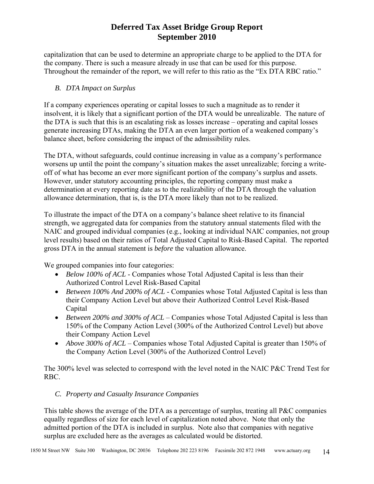capitalization that can be used to determine an appropriate charge to be applied to the DTA for the company. There is such a measure already in use that can be used for this purpose. Throughout the remainder of the report, we will refer to this ratio as the "Ex DTA RBC ratio."

### *B. DTA Impact on Surplus*

If a company experiences operating or capital losses to such a magnitude as to render it insolvent, it is likely that a significant portion of the DTA would be unrealizable. The nature of the DTA is such that this is an escalating risk as losses increase – operating and capital losses generate increasing DTAs, making the DTA an even larger portion of a weakened company's balance sheet, before considering the impact of the admissibility rules.

The DTA, without safeguards, could continue increasing in value as a company's performance worsens up until the point the company's situation makes the asset unrealizable; forcing a writeoff of what has become an ever more significant portion of the company's surplus and assets. However, under statutory accounting principles, the reporting company must make a determination at every reporting date as to the realizability of the DTA through the valuation allowance determination, that is, is the DTA more likely than not to be realized.

To illustrate the impact of the DTA on a company's balance sheet relative to its financial strength, we aggregated data for companies from the statutory annual statements filed with the NAIC and grouped individual companies (e.g., looking at individual NAIC companies, not group level results) based on their ratios of Total Adjusted Capital to Risk-Based Capital. The reported gross DTA in the annual statement is *before* the valuation allowance.

We grouped companies into four categories:

- *Below 100% of ACL* Companies whose Total Adjusted Capital is less than their Authorized Control Level Risk-Based Capital
- *Between 100% And 200% of ACL* Companies whose Total Adjusted Capital is less than their Company Action Level but above their Authorized Control Level Risk-Based Capital
- *Between 200% and 300% of ACL* Companies whose Total Adjusted Capital is less than 150% of the Company Action Level (300% of the Authorized Control Level) but above their Company Action Level
- *Above 300% of ACL* Companies whose Total Adjusted Capital is greater than 150% of the Company Action Level (300% of the Authorized Control Level)

The 300% level was selected to correspond with the level noted in the NAIC P&C Trend Test for RBC.

### *C. Property and Casualty Insurance Companies*

This table shows the average of the DTA as a percentage of surplus, treating all P&C companies equally regardless of size for each level of capitalization noted above. Note that only the admitted portion of the DTA is included in surplus. Note also that companies with negative surplus are excluded here as the averages as calculated would be distorted.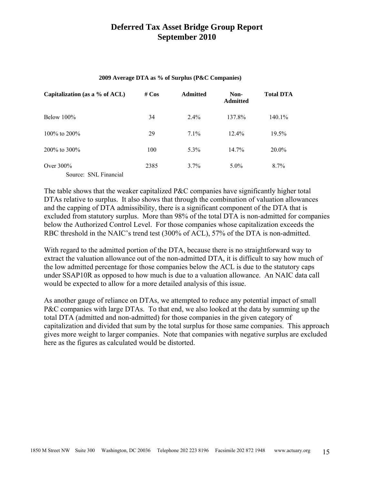#### **2009 Average DTA as % of Surplus (P&C Companies)**

| Capitalization (as a $%$ of ACL)      | # $Cos$ | <b>Admitted</b> | Non-<br><b>Admitted</b> | <b>Total DTA</b> |
|---------------------------------------|---------|-----------------|-------------------------|------------------|
| Below $100\%$                         | 34      | $2.4\%$         | 137.8%                  | 140.1%           |
| $100\%$ to $200\%$                    | 29      | $7.1\%$         | $12.4\%$                | 19.5%            |
| $200\%$ to $300\%$                    | 100     | $5.3\%$         | $14.7\%$                | $20.0\%$         |
| Over $300\%$<br>Source: SNL Financial | 2385    | 3.7%            | $5.0\%$                 | 8.7%             |

The table shows that the weaker capitalized P&C companies have significantly higher total DTAs relative to surplus. It also shows that through the combination of valuation allowances and the capping of DTA admissibility, there is a significant component of the DTA that is excluded from statutory surplus. More than 98% of the total DTA is non-admitted for companies below the Authorized Control Level. For those companies whose capitalization exceeds the RBC threshold in the NAIC's trend test (300% of ACL), 57% of the DTA is non-admitted.

With regard to the admitted portion of the DTA, because there is no straightforward way to extract the valuation allowance out of the non-admitted DTA, it is difficult to say how much of the low admitted percentage for those companies below the ACL is due to the statutory caps under SSAP10R as opposed to how much is due to a valuation allowance. An NAIC data call would be expected to allow for a more detailed analysis of this issue.

As another gauge of reliance on DTAs, we attempted to reduce any potential impact of small P&C companies with large DTAs. To that end, we also looked at the data by summing up the total DTA (admitted and non-admitted) for those companies in the given category of capitalization and divided that sum by the total surplus for those same companies. This approach gives more weight to larger companies. Note that companies with negative surplus are excluded here as the figures as calculated would be distorted.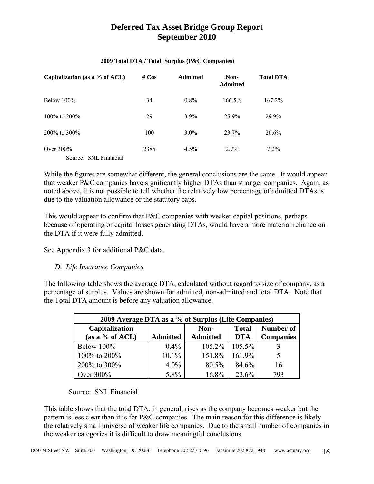| Capitalization (as a % of ACL)        | # $Cos$ | <b>Admitted</b> | Non-<br><b>Admitted</b> | <b>Total DTA</b> |
|---------------------------------------|---------|-----------------|-------------------------|------------------|
| Below $100\%$                         | 34      | $0.8\%$         | 166.5%                  | $167.2\%$        |
| $100\%$ to $200\%$                    | 29      | $3.9\%$         | 25.9%                   | 29.9%            |
| $200\%$ to 300\%                      | 100     | $3.0\%$         | 23.7%                   | 26.6%            |
| Over $300\%$<br>Source: SNL Financial | 2385    | $4.5\%$         | $2.7\%$                 | $7.2\%$          |

#### **2009 Total DTA / Total Surplus (P&C Companies)**

While the figures are somewhat different, the general conclusions are the same. It would appear that weaker P&C companies have significantly higher DTAs than stronger companies. Again, as noted above, it is not possible to tell whether the relatively low percentage of admitted DTAs is due to the valuation allowance or the statutory caps.

This would appear to confirm that P&C companies with weaker capital positions, perhaps because of operating or capital losses generating DTAs, would have a more material reliance on the DTA if it were fully admitted.

See Appendix 3 for additional P&C data.

### *D. Life Insurance Companies*

The following table shows the average DTA, calculated without regard to size of company, as a percentage of surplus. Values are shown for admitted, non-admitted and total DTA. Note that the Total DTA amount is before any valuation allowance.

| 2009 Average DTA as a % of Surplus (Life Companies) |                 |                         |                            |                               |  |  |  |  |
|-----------------------------------------------------|-----------------|-------------------------|----------------------------|-------------------------------|--|--|--|--|
| Capitalization<br>(as a $%$ of ACL)                 | <b>Admitted</b> | Non-<br><b>Admitted</b> | <b>Total</b><br><b>DTA</b> | Number of<br><b>Companies</b> |  |  |  |  |
| Below $100\%$                                       | $0.4\%$         | $105.2\%$               | $105.5\%$                  |                               |  |  |  |  |
| 100\% to 200\%                                      | $10.1\%$        | 151.8%                  | $161.9\%$                  | 5                             |  |  |  |  |
| 200% to 300%                                        | $4.0\%$         | 80.5%                   | 84.6%                      | 16                            |  |  |  |  |
| Over 300%                                           | 5.8%            | 16.8%                   | 22.6%                      | 793                           |  |  |  |  |

#### Source: SNL Financial

This table shows that the total DTA, in general, rises as the company becomes weaker but the pattern is less clear than it is for P&C companies. The main reason for this difference is likely the relatively small universe of weaker life companies. Due to the small number of companies in the weaker categories it is difficult to draw meaningful conclusions.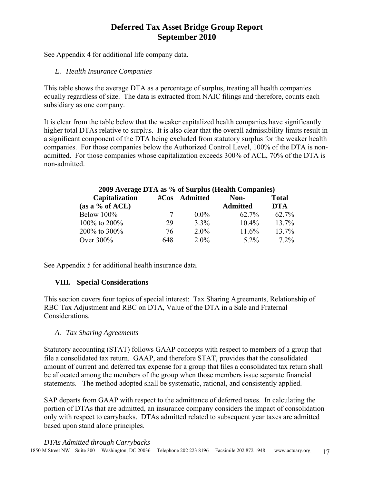See Appendix 4 for additional life company data.

### *E. Health Insurance Companies*

This table shows the average DTA as a percentage of surplus, treating all health companies equally regardless of size. The data is extracted from NAIC filings and therefore, counts each subsidiary as one company.

It is clear from the table below that the weaker capitalized health companies have significantly higher total DTAs relative to surplus. It is also clear that the overall admissibility limits result in a significant component of the DTA being excluded from statutory surplus for the weaker health companies. For those companies below the Authorized Control Level, 100% of the DTA is nonadmitted. For those companies whose capitalization exceeds 300% of ACL, 70% of the DTA is non-admitted.

| 2009 Average DTA as % of Surplus (Health Companies) |          |                 |                 |              |  |  |  |  |  |
|-----------------------------------------------------|----------|-----------------|-----------------|--------------|--|--|--|--|--|
| Capitalization                                      | # $\cos$ | <b>Admitted</b> | Non-            | <b>Total</b> |  |  |  |  |  |
| (as a % of $ACL$ )                                  |          |                 | <b>Admitted</b> | <b>DTA</b>   |  |  |  |  |  |
| <b>Below 100%</b>                                   | 7        | $0.0\%$         | 62.7%           | $62.7\%$     |  |  |  |  |  |
| 100% to 200%                                        | 29       | 3.3%            | $10.4\%$        | 13.7%        |  |  |  |  |  |
| 200% to 300%                                        | 76       | $2.0\%$         | 11.6%           | 13.7%        |  |  |  |  |  |
| Over 300%                                           | 648      | $2.0\%$         | $5.2\%$         | $7.2\%$      |  |  |  |  |  |

See Appendix 5 for additional health insurance data.

### **VIII. Special Considerations**

This section covers four topics of special interest: Tax Sharing Agreements, Relationship of RBC Tax Adjustment and RBC on DTA, Value of the DTA in a Sale and Fraternal Considerations.

### *A. Tax Sharing Agreements*

Statutory accounting (STAT) follows GAAP concepts with respect to members of a group that file a consolidated tax return. GAAP, and therefore STAT, provides that the consolidated amount of current and deferred tax expense for a group that files a consolidated tax return shall be allocated among the members of the group when those members issue separate financial statements. The method adopted shall be systematic, rational, and consistently applied.

SAP departs from GAAP with respect to the admittance of deferred taxes. In calculating the portion of DTAs that are admitted, an insurance company considers the impact of consolidation only with respect to carrybacks. DTAs admitted related to subsequent year taxes are admitted based upon stand alone principles.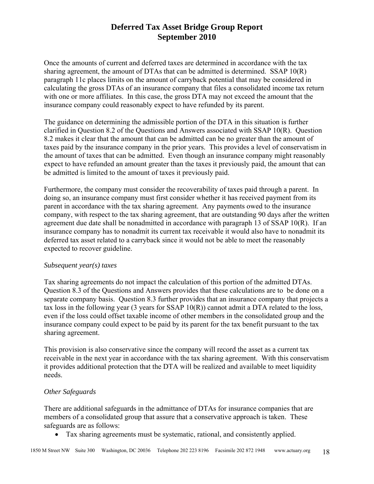Once the amounts of current and deferred taxes are determined in accordance with the tax sharing agreement, the amount of DTAs that can be admitted is determined. SSAP 10(R) paragraph 11c places limits on the amount of carryback potential that may be considered in calculating the gross DTAs of an insurance company that files a consolidated income tax return with one or more affiliates. In this case, the gross DTA may not exceed the amount that the insurance company could reasonably expect to have refunded by its parent.

The guidance on determining the admissible portion of the DTA in this situation is further clarified in Question 8.2 of the Questions and Answers associated with SSAP 10(R). Question 8.2 makes it clear that the amount that can be admitted can be no greater than the amount of taxes paid by the insurance company in the prior years. This provides a level of conservatism in the amount of taxes that can be admitted. Even though an insurance company might reasonably expect to have refunded an amount greater than the taxes it previously paid, the amount that can be admitted is limited to the amount of taxes it previously paid.

Furthermore, the company must consider the recoverability of taxes paid through a parent. In doing so, an insurance company must first consider whether it has received payment from its parent in accordance with the tax sharing agreement. Any payments owed to the insurance company, with respect to the tax sharing agreement, that are outstanding 90 days after the written agreement due date shall be nonadmitted in accordance with paragraph 13 of SSAP 10(R). If an insurance company has to nonadmit its current tax receivable it would also have to nonadmit its deferred tax asset related to a carryback since it would not be able to meet the reasonably expected to recover guideline.

#### *Subsequent year(s) taxes*

Tax sharing agreements do not impact the calculation of this portion of the admitted DTAs. Question 8.3 of the Questions and Answers provides that these calculations are to be done on a separate company basis. Question 8.3 further provides that an insurance company that projects a tax loss in the following year (3 years for SSAP 10(R)) cannot admit a DTA related to the loss, even if the loss could offset taxable income of other members in the consolidated group and the insurance company could expect to be paid by its parent for the tax benefit pursuant to the tax sharing agreement.

This provision is also conservative since the company will record the asset as a current tax receivable in the next year in accordance with the tax sharing agreement. With this conservatism it provides additional protection that the DTA will be realized and available to meet liquidity needs.

#### *Other Safeguards*

There are additional safeguards in the admittance of DTAs for insurance companies that are members of a consolidated group that assure that a conservative approach is taken. These safeguards are as follows:

• Tax sharing agreements must be systematic, rational, and consistently applied.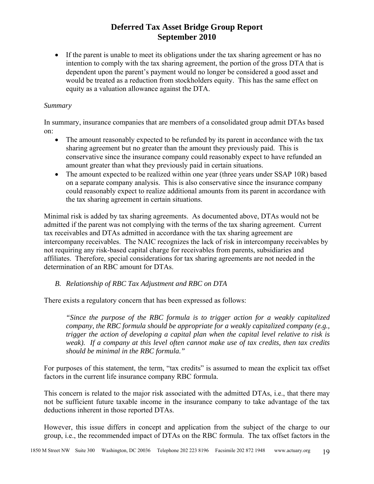• If the parent is unable to meet its obligations under the tax sharing agreement or has no intention to comply with the tax sharing agreement, the portion of the gross DTA that is dependent upon the parent's payment would no longer be considered a good asset and would be treated as a reduction from stockholders equity. This has the same effect on equity as a valuation allowance against the DTA.

#### *Summary*

In summary, insurance companies that are members of a consolidated group admit DTAs based on:

- The amount reasonably expected to be refunded by its parent in accordance with the tax sharing agreement but no greater than the amount they previously paid. This is conservative since the insurance company could reasonably expect to have refunded an amount greater than what they previously paid in certain situations.
- The amount expected to be realized within one year (three years under SSAP 10R) based on a separate company analysis. This is also conservative since the insurance company could reasonably expect to realize additional amounts from its parent in accordance with the tax sharing agreement in certain situations.

Minimal risk is added by tax sharing agreements. As documented above, DTAs would not be admitted if the parent was not complying with the terms of the tax sharing agreement. Current tax receivables and DTAs admitted in accordance with the tax sharing agreement are intercompany receivables. The NAIC recognizes the lack of risk in intercompany receivables by not requiring any risk-based capital charge for receivables from parents, subsidiaries and affiliates. Therefore, special considerations for tax sharing agreements are not needed in the determination of an RBC amount for DTAs.

### *B. Relationship of RBC Tax Adjustment and RBC on DTA*

There exists a regulatory concern that has been expressed as follows:

*"Since the purpose of the RBC formula is to trigger action for a weakly capitalized company, the RBC formula should be appropriate for a weakly capitalized company (e.g., trigger the action of developing a capital plan when the capital level relative to risk is weak). If a company at this level often cannot make use of tax credits, then tax credits should be minimal in the RBC formula."* 

For purposes of this statement, the term, "tax credits" is assumed to mean the explicit tax offset factors in the current life insurance company RBC formula.

This concern is related to the major risk associated with the admitted DTAs, i.e., that there may not be sufficient future taxable income in the insurance company to take advantage of the tax deductions inherent in those reported DTAs.

However, this issue differs in concept and application from the subject of the charge to our group, i.e., the recommended impact of DTAs on the RBC formula. The tax offset factors in the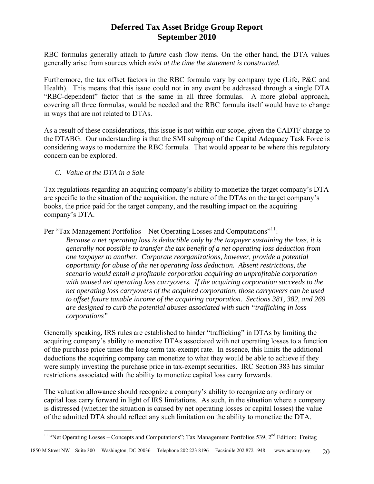RBC formulas generally attach to *future* cash flow items. On the other hand, the DTA values generally arise from sources which *exist at the time the statement is constructed.*

Furthermore, the tax offset factors in the RBC formula vary by company type (Life, P&C and Health). This means that this issue could not in any event be addressed through a single DTA "RBC-dependent" factor that is the same in all three formulas. A more global approach, covering all three formulas, would be needed and the RBC formula itself would have to change in ways that are not related to DTAs.

As a result of these considerations, this issue is not within our scope, given the CADTF charge to the DTABG. Our understanding is that the SMI subgroup of the Capital Adequacy Task Force is considering ways to modernize the RBC formula. That would appear to be where this regulatory concern can be explored.

*C. Value of the DTA in a Sale* 

 $\overline{a}$ 

Tax regulations regarding an acquiring company's ability to monetize the target company's DTA are specific to the situation of the acquisition, the nature of the DTAs on the target company's books, the price paid for the target company, and the resulting impact on the acquiring company's DTA.

Per "Tax Management Portfolios – Net Operating Losses and Computations"<sup>[11](#page-21-0)</sup>:

*Because a net operating loss is deductible only by the taxpayer sustaining the loss, it is generally not possible to transfer the tax benefit of a net operating loss deduction from one taxpayer to another. Corporate reorganizations, however, provide a potential opportunity for abuse of the net operating loss deduction. Absent restrictions, the scenario would entail a profitable corporation acquiring an unprofitable corporation with unused net operating loss carryovers. If the acquiring corporation succeeds to the net operating loss carryovers of the acquired corporation, those carryovers can be used to offset future taxable income of the acquiring corporation. Sections 381, 382, and 269 are designed to curb the potential abuses associated with such "trafficking in loss corporations"* 

Generally speaking, IRS rules are established to hinder "trafficking" in DTAs by limiting the acquiring company's ability to monetize DTAs associated with net operating losses to a function of the purchase price times the long-term tax-exempt rate. In essence, this limits the additional deductions the acquiring company can monetize to what they would be able to achieve if they were simply investing the purchase price in tax-exempt securities. IRC Section 383 has similar restrictions associated with the ability to monetize capital loss carry forwards.

The valuation allowance should recognize a company's ability to recognize any ordinary or capital loss carry forward in light of IRS limitations. As such, in the situation where a company is distressed (whether the situation is caused by net operating losses or capital losses) the value of the admitted DTA should reflect any such limitation on the ability to monetize the DTA.

<span id="page-21-0"></span><sup>&</sup>lt;sup>11</sup> "Net Operating Losses – Concepts and Computations"; Tax Management Portfolios 539,  $2<sup>nd</sup>$  Edition; Freitag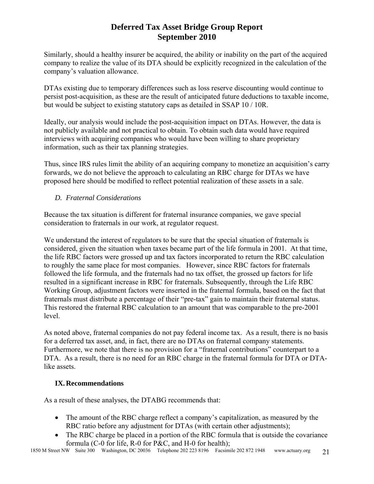Similarly, should a healthy insurer be acquired, the ability or inability on the part of the acquired company to realize the value of its DTA should be explicitly recognized in the calculation of the company's valuation allowance.

DTAs existing due to temporary differences such as loss reserve discounting would continue to persist post-acquisition, as these are the result of anticipated future deductions to taxable income, but would be subject to existing statutory caps as detailed in SSAP 10 / 10R.

Ideally, our analysis would include the post-acquisition impact on DTAs. However, the data is not publicly available and not practical to obtain. To obtain such data would have required interviews with acquiring companies who would have been willing to share proprietary information, such as their tax planning strategies.

Thus, since IRS rules limit the ability of an acquiring company to monetize an acquisition's carry forwards, we do not believe the approach to calculating an RBC charge for DTAs we have proposed here should be modified to reflect potential realization of these assets in a sale.

### *D. Fraternal Considerations*

Because the tax situation is different for fraternal insurance companies, we gave special consideration to fraternals in our work, at regulator request.

We understand the interest of regulators to be sure that the special situation of fraternals is considered, given the situation when taxes became part of the life formula in 2001. At that time, the life RBC factors were grossed up and tax factors incorporated to return the RBC calculation to roughly the same place for most companies. However, since RBC factors for fraternals followed the life formula, and the fraternals had no tax offset, the grossed up factors for life resulted in a significant increase in RBC for fraternals. Subsequently, through the Life RBC Working Group, adjustment factors were inserted in the fraternal formula, based on the fact that fraternals must distribute a percentage of their "pre-tax" gain to maintain their fraternal status. This restored the fraternal RBC calculation to an amount that was comparable to the pre-2001 level.

As noted above, fraternal companies do not pay federal income tax. As a result, there is no basis for a deferred tax asset, and, in fact, there are no DTAs on fraternal company statements. Furthermore, we note that there is no provision for a "fraternal contributions" counterpart to a DTA. As a result, there is no need for an RBC charge in the fraternal formula for DTA or DTAlike assets.

### **IX.Recommendations**

As a result of these analyses, the DTABG recommends that:

- The amount of the RBC charge reflect a company's capitalization, as measured by the RBC ratio before any adjustment for DTAs (with certain other adjustments);
- The RBC charge be placed in a portion of the RBC formula that is outside the covariance formula (C-0 for life, R-0 for P&C, and H-0 for health);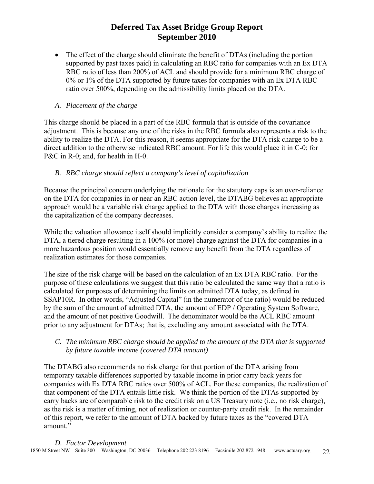• The effect of the charge should eliminate the benefit of DTAs (including the portion supported by past taxes paid) in calculating an RBC ratio for companies with an Ex DTA RBC ratio of less than 200% of ACL and should provide for a minimum RBC charge of 0% or 1% of the DTA supported by future taxes for companies with an Ex DTA RBC ratio over 500%, depending on the admissibility limits placed on the DTA.

### *A. Placement of the charge*

This charge should be placed in a part of the RBC formula that is outside of the covariance adjustment. This is because any one of the risks in the RBC formula also represents a risk to the ability to realize the DTA. For this reason, it seems appropriate for the DTA risk charge to be a direct addition to the otherwise indicated RBC amount. For life this would place it in C-0; for P&C in R-0; and, for health in H-0.

### *B. RBC charge should reflect a company's level of capitalization*

Because the principal concern underlying the rationale for the statutory caps is an over-reliance on the DTA for companies in or near an RBC action level, the DTABG believes an appropriate approach would be a variable risk charge applied to the DTA with those charges increasing as the capitalization of the company decreases.

While the valuation allowance itself should implicitly consider a company's ability to realize the DTA, a tiered charge resulting in a 100% (or more) charge against the DTA for companies in a more hazardous position would essentially remove any benefit from the DTA regardless of realization estimates for those companies.

The size of the risk charge will be based on the calculation of an Ex DTA RBC ratio. For the purpose of these calculations we suggest that this ratio be calculated the same way that a ratio is calculated for purposes of determining the limits on admitted DTA today, as defined in SSAP10R. In other words, "Adjusted Capital" (in the numerator of the ratio) would be reduced by the sum of the amount of admitted DTA, the amount of EDP / Operating System Software, and the amount of net positive Goodwill. The denominator would be the ACL RBC amount prior to any adjustment for DTAs; that is, excluding any amount associated with the DTA.

### *C. The minimum RBC charge should be applied to the amount of the DTA that is supported by future taxable income (covered DTA amount)*

The DTABG also recommends no risk charge for that portion of the DTA arising from temporary taxable differences supported by taxable income in prior carry back years for companies with Ex DTA RBC ratios over 500% of ACL. For these companies, the realization of that component of the DTA entails little risk. We think the portion of the DTAs supported by carry backs are of comparable risk to the credit risk on a US Treasury note (i.e., no risk charge), as the risk is a matter of timing, not of realization or counter-party credit risk. In the remainder of this report, we refer to the amount of DTA backed by future taxes as the "covered DTA amount."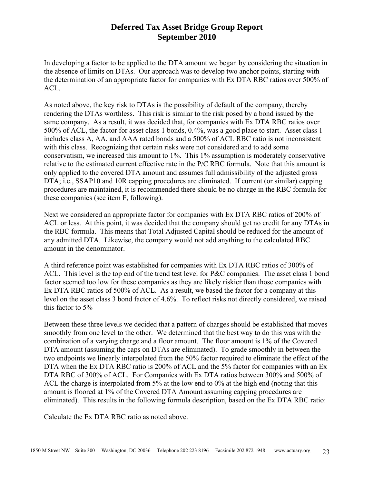In developing a factor to be applied to the DTA amount we began by considering the situation in the absence of limits on DTAs. Our approach was to develop two anchor points, starting with the determination of an appropriate factor for companies with Ex DTA RBC ratios over 500% of ACL.

As noted above, the key risk to DTAs is the possibility of default of the company, thereby rendering the DTAs worthless. This risk is similar to the risk posed by a bond issued by the same company. As a result, it was decided that, for companies with Ex DTA RBC ratios over 500% of ACL, the factor for asset class 1 bonds, 0.4%, was a good place to start. Asset class 1 includes class A, AA, and AAA rated bonds and a 500% of ACL RBC ratio is not inconsistent with this class. Recognizing that certain risks were not considered and to add some conservatism, we increased this amount to 1%. This 1% assumption is moderately conservative relative to the estimated current effective rate in the P/C RBC formula. Note that this amount is only applied to the covered DTA amount and assumes full admissibility of the adjusted gross DTA; i.e., SSAP10 and 10R capping procedures are eliminated. If current (or similar) capping procedures are maintained, it is recommended there should be no charge in the RBC formula for these companies (see item F, following).

Next we considered an appropriate factor for companies with Ex DTA RBC ratios of 200% of ACL or less. At this point, it was decided that the company should get no credit for any DTAs in the RBC formula. This means that Total Adjusted Capital should be reduced for the amount of any admitted DTA. Likewise, the company would not add anything to the calculated RBC amount in the denominator.

A third reference point was established for companies with Ex DTA RBC ratios of 300% of ACL. This level is the top end of the trend test level for P&C companies. The asset class 1 bond factor seemed too low for these companies as they are likely riskier than those companies with Ex DTA RBC ratios of 500% of ACL. As a result, we based the factor for a company at this level on the asset class 3 bond factor of 4.6%. To reflect risks not directly considered, we raised this factor to 5%

Between these three levels we decided that a pattern of charges should be established that moves smoothly from one level to the other. We determined that the best way to do this was with the combination of a varying charge and a floor amount. The floor amount is 1% of the Covered DTA amount (assuming the caps on DTAs are eliminated). To grade smoothly in between the two endpoints we linearly interpolated from the 50% factor required to eliminate the effect of the DTA when the Ex DTA RBC ratio is 200% of ACL and the 5% factor for companies with an Ex DTA RBC of 300% of ACL. For Companies with Ex DTA ratios between 300% and 500% of ACL the charge is interpolated from 5% at the low end to 0% at the high end (noting that this amount is floored at 1% of the Covered DTA Amount assuming capping procedures are eliminated). This results in the following formula description, based on the Ex DTA RBC ratio:

Calculate the Ex DTA RBC ratio as noted above.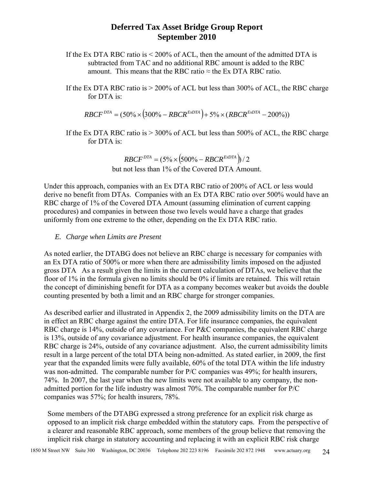- If the Ex DTA RBC ratio is  $\leq 200\%$  of ACL, then the amount of the admitted DTA is subtracted from TAC and no additional RBC amount is added to the RBC amount. This means that the RBC ratio  $\approx$  the Ex DTA RBC ratio.
- If the Ex DTA RBC ratio is > 200% of ACL but less than 300% of ACL, the RBC charge for DTA is:

$$
RBCF^{DTA} = (50\% \times (300\% - RBCR^{ExDTA}) + 5\% \times (RBCR^{ExDTA} - 200\%))
$$

If the Ex DTA RBC ratio is  $> 300\%$  of ACL but less than 500% of ACL, the RBC charge for DTA is:

> $RBCF^{DTA} = (5\% \times (500\% - RBCR^{ExDTA}))$ /2 but not less than 1% of the Covered DTA Amount.

Under this approach, companies with an Ex DTA RBC ratio of 200% of ACL or less would derive no benefit from DTAs. Companies with an Ex DTA RBC ratio over 500% would have an RBC charge of 1% of the Covered DTA Amount (assuming elimination of current capping procedures) and companies in between those two levels would have a charge that grades uniformly from one extreme to the other, depending on the Ex DTA RBC ratio.

#### *E. Charge when Limits are Present*

As noted earlier, the DTABG does not believe an RBC charge is necessary for companies with an Ex DTA ratio of 500% or more when there are admissibility limits imposed on the adjusted gross DTA As a result given the limits in the current calculation of DTAs, we believe that the floor of 1% in the formula given no limits should be 0% if limits are retained. This will retain the concept of diminishing benefit for DTA as a company becomes weaker but avoids the double counting presented by both a limit and an RBC charge for stronger companies.

As described earlier and illustrated in Appendix 2, the 2009 admissibility limits on the DTA are in effect an RBC charge against the entire DTA. For life insurance companies, the equivalent RBC charge is 14%, outside of any covariance. For P&C companies, the equivalent RBC charge is 13%, outside of any covariance adjustment. For health insurance companies, the equivalent RBC charge is 24%, outside of any covariance adjustment. Also, the current admissibility limits result in a large percent of the total DTA being non-admitted. As stated earlier, in 2009, the first year that the expanded limits were fully available, 60% of the total DTA within the life industry was non-admitted. The comparable number for P/C companies was 49%; for health insurers, 74%. In 2007, the last year when the new limits were not available to any company, the nonadmitted portion for the life industry was almost 70%. The comparable number for P/C companies was 57%; for health insurers, 78%.

Some members of the DTABG expressed a strong preference for an explicit risk charge as opposed to an implicit risk charge embedded within the statutory caps. From the perspective of a clearer and reasonable RBC approach, some members of the group believe that removing the implicit risk charge in statutory accounting and replacing it with an explicit RBC risk charge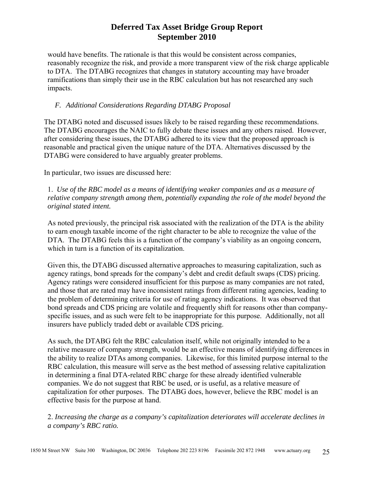would have benefits. The rationale is that this would be consistent across companies, reasonably recognize the risk, and provide a more transparent view of the risk charge applicable to DTA. The DTABG recognizes that changes in statutory accounting may have broader ramifications than simply their use in the RBC calculation but has not researched any such impacts.

### *F. Additional Considerations Regarding DTABG Proposal*

The DTABG noted and discussed issues likely to be raised regarding these recommendations. The DTABG encourages the NAIC to fully debate these issues and any others raised. However, after considering these issues, the DTABG adhered to its view that the proposed approach is reasonable and practical given the unique nature of the DTA. Alternatives discussed by the DTABG were considered to have arguably greater problems.

In particular, two issues are discussed here:

1. *Use of the RBC model as a means of identifying weaker companies and as a measure of relative company strength among them, potentially expanding the role of the model beyond the original stated intent.* 

As noted previously, the principal risk associated with the realization of the DTA is the ability to earn enough taxable income of the right character to be able to recognize the value of the DTA. The DTABG feels this is a function of the company's viability as an ongoing concern, which in turn is a function of its capitalization.

Given this, the DTABG discussed alternative approaches to measuring capitalization, such as agency ratings, bond spreads for the company's debt and credit default swaps (CDS) pricing. Agency ratings were considered insufficient for this purpose as many companies are not rated, and those that are rated may have inconsistent ratings from different rating agencies, leading to the problem of determining criteria for use of rating agency indications. It was observed that bond spreads and CDS pricing are volatile and frequently shift for reasons other than companyspecific issues, and as such were felt to be inappropriate for this purpose. Additionally, not all insurers have publicly traded debt or available CDS pricing.

As such, the DTABG felt the RBC calculation itself, while not originally intended to be a relative measure of company strength, would be an effective means of identifying differences in the ability to realize DTAs among companies. Likewise, for this limited purpose internal to the RBC calculation, this measure will serve as the best method of assessing relative capitalization in determining a final DTA-related RBC charge for these already identified vulnerable companies. We do not suggest that RBC be used, or is useful, as a relative measure of capitalization for other purposes. The DTABG does, however, believe the RBC model is an effective basis for the purpose at hand.

2. *Increasing the charge as a company's capitalization deteriorates will accelerate declines in a company's RBC ratio.*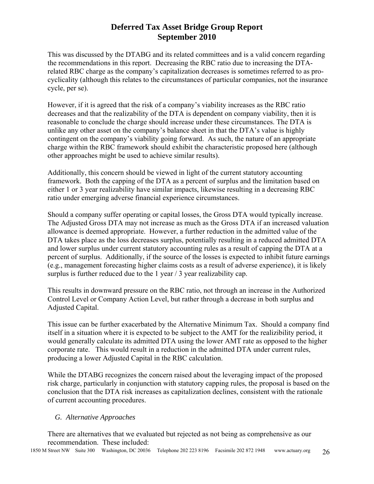This was discussed by the DTABG and its related committees and is a valid concern regarding the recommendations in this report. Decreasing the RBC ratio due to increasing the DTArelated RBC charge as the company's capitalization decreases is sometimes referred to as procyclicality (although this relates to the circumstances of particular companies, not the insurance cycle, per se).

However, if it is agreed that the risk of a company's viability increases as the RBC ratio decreases and that the realizability of the DTA is dependent on company viability, then it is reasonable to conclude the charge should increase under these circumstances. The DTA is unlike any other asset on the company's balance sheet in that the DTA's value is highly contingent on the company's viability going forward. As such, the nature of an appropriate charge within the RBC framework should exhibit the characteristic proposed here (although other approaches might be used to achieve similar results).

Additionally, this concern should be viewed in light of the current statutory accounting framework. Both the capping of the DTA as a percent of surplus and the limitation based on either 1 or 3 year realizability have similar impacts, likewise resulting in a decreasing RBC ratio under emerging adverse financial experience circumstances.

Should a company suffer operating or capital losses, the Gross DTA would typically increase. The Adjusted Gross DTA may not increase as much as the Gross DTA if an increased valuation allowance is deemed appropriate. However, a further reduction in the admitted value of the DTA takes place as the loss decreases surplus, potentially resulting in a reduced admitted DTA and lower surplus under current statutory accounting rules as a result of capping the DTA at a percent of surplus. Additionally, if the source of the losses is expected to inhibit future earnings (e.g., management forecasting higher claims costs as a result of adverse experience), it is likely surplus is further reduced due to the 1 year / 3 year realizability cap.

This results in downward pressure on the RBC ratio, not through an increase in the Authorized Control Level or Company Action Level, but rather through a decrease in both surplus and Adjusted Capital.

This issue can be further exacerbated by the Alternative Minimum Tax. Should a company find itself in a situation where it is expected to be subject to the AMT for the realizibility period, it would generally calculate its admitted DTA using the lower AMT rate as opposed to the higher corporate rate. This would result in a reduction in the admitted DTA under current rules, producing a lower Adjusted Capital in the RBC calculation.

While the DTABG recognizes the concern raised about the leveraging impact of the proposed risk charge, particularly in conjunction with statutory capping rules, the proposal is based on the conclusion that the DTA risk increases as capitalization declines, consistent with the rationale of current accounting procedures.

### *G. Alternative Approaches*

There are alternatives that we evaluated but rejected as not being as comprehensive as our recommendation. These included: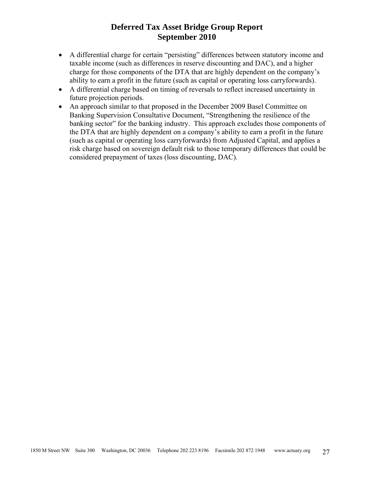- A differential charge for certain "persisting" differences between statutory income and taxable income (such as differences in reserve discounting and DAC), and a higher charge for those components of the DTA that are highly dependent on the company's ability to earn a profit in the future (such as capital or operating loss carryforwards).
- A differential charge based on timing of reversals to reflect increased uncertainty in future projection periods.
- An approach similar to that proposed in the December 2009 Basel Committee on Banking Supervision Consultative Document, "Strengthening the resilience of the banking sector" for the banking industry. This approach excludes those components of the DTA that are highly dependent on a company's ability to earn a profit in the future (such as capital or operating loss carryforwards) from Adjusted Capital, and applies a risk charge based on sovereign default risk to those temporary differences that could be considered prepayment of taxes (loss discounting, DAC).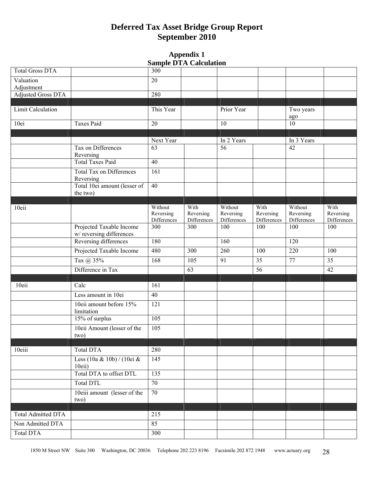#### **Appendix 1 Sample DTA Calculation**

| <b>Total Gross DTA</b>                  |                                           | 300                | $\sim$ ample $\sim$ 111 $\sim$ anchements |                    |                    |                    |                    |
|-----------------------------------------|-------------------------------------------|--------------------|-------------------------------------------|--------------------|--------------------|--------------------|--------------------|
|                                         |                                           |                    |                                           |                    |                    |                    |                    |
| Valuation                               |                                           | 20                 |                                           |                    |                    |                    |                    |
| Adjustment<br><b>Adjusted Gross DTA</b> |                                           | 280                |                                           |                    |                    |                    |                    |
|                                         |                                           |                    |                                           |                    |                    |                    |                    |
| Limit Calculation                       |                                           | This Year          |                                           | Prior Year         |                    | Two years          |                    |
|                                         |                                           |                    |                                           |                    |                    | ago                |                    |
| 10ei                                    | Taxes Paid                                | 20                 |                                           | 10                 |                    | 10                 |                    |
|                                         |                                           |                    |                                           |                    |                    |                    |                    |
|                                         |                                           | Next Year          |                                           | In 2 Years         |                    | In 3 Years         |                    |
|                                         | Tax on Differences                        | 63                 |                                           | 56                 |                    | 42                 |                    |
|                                         | Reversing<br><b>Total Taxes Paid</b>      | $\overline{40}$    |                                           |                    |                    |                    |                    |
|                                         |                                           |                    |                                           |                    |                    |                    |                    |
|                                         | Total Tax on Differences                  | 161                |                                           |                    |                    |                    |                    |
|                                         | Reversing<br>Total 10ei amount (lesser of | 40                 |                                           |                    |                    |                    |                    |
|                                         | the two)                                  |                    |                                           |                    |                    |                    |                    |
|                                         |                                           |                    |                                           |                    |                    |                    |                    |
| 10eii                                   |                                           | Without            | With                                      | Without            | With               | Without            | With               |
|                                         |                                           | Reversing          | Reversing                                 | Reversing          | Reversing          | Reversing          | Reversing          |
|                                         | Projected Taxable Income                  | Differences<br>300 | Differences<br>300                        | Differences<br>100 | Differences<br>100 | Differences<br>100 | Differences<br>100 |
|                                         | w/reversing differences                   |                    |                                           |                    |                    |                    |                    |
|                                         | Reversing differences                     | 180                |                                           | 160                |                    | 120                |                    |
|                                         | Projected Taxable Income                  | 480                | 300                                       | 260                | 100                | 220                | 100                |
|                                         | Tax @ 35%                                 | 168                | 105                                       | 91                 | 35                 | 77                 | 35                 |
|                                         | Difference in Tax                         |                    | 63                                        |                    | 56                 |                    | 42                 |
|                                         |                                           |                    |                                           |                    |                    |                    |                    |
| 10eii                                   | Calc                                      | 161                |                                           |                    |                    |                    |                    |
|                                         | Less amount in 10ei                       | $\overline{40}$    |                                           |                    |                    |                    |                    |
|                                         |                                           |                    |                                           |                    |                    |                    |                    |
|                                         | 10eii amount before 15%<br>limitation     | 121                |                                           |                    |                    |                    |                    |
|                                         | 15% of surplus                            | 105                |                                           |                    |                    |                    |                    |
|                                         | 10eii Amount (lesser of the               | $\overline{105}$   |                                           |                    |                    |                    |                    |
|                                         | two)                                      |                    |                                           |                    |                    |                    |                    |
|                                         |                                           |                    |                                           |                    |                    |                    |                    |
| 10eiii                                  | Total DTA                                 | 280                |                                           |                    |                    |                    |                    |
|                                         | Less (10a & 10b) / (10ei &                | 145                |                                           |                    |                    |                    |                    |
|                                         | $10$ eii)                                 |                    |                                           |                    |                    |                    |                    |
|                                         | Total DTA to offset DTL                   | 135                |                                           |                    |                    |                    |                    |
|                                         | Total DTL                                 | $\overline{70}$    |                                           |                    |                    |                    |                    |
|                                         | 10eiii amount (lesser of the<br>two)      | 70                 |                                           |                    |                    |                    |                    |
|                                         |                                           |                    |                                           |                    |                    |                    |                    |
| <b>Total Admitted DTA</b>               |                                           | 215                |                                           |                    |                    |                    |                    |
| Non Admitted DTA                        |                                           | 85                 |                                           |                    |                    |                    |                    |
| <b>Total DTA</b>                        |                                           | 300                |                                           |                    |                    |                    |                    |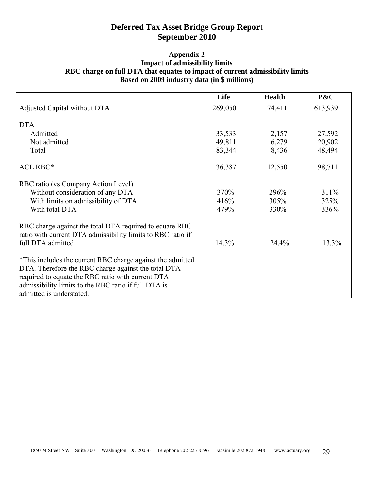#### **Appendix 2 Impact of admissibility limits RBC charge on full DTA that equates to impact of current admissibility limits Based on 2009 industry data (in \$ millions)**

|                                                                                                                                                                                                                                                            | Life    | <b>Health</b> | P&C     |
|------------------------------------------------------------------------------------------------------------------------------------------------------------------------------------------------------------------------------------------------------------|---------|---------------|---------|
| Adjusted Capital without DTA                                                                                                                                                                                                                               | 269,050 | 74,411        | 613,939 |
| <b>DTA</b>                                                                                                                                                                                                                                                 |         |               |         |
| Admitted                                                                                                                                                                                                                                                   | 33,533  | 2,157         | 27,592  |
| Not admitted                                                                                                                                                                                                                                               | 49,811  | 6,279         | 20,902  |
| Total                                                                                                                                                                                                                                                      | 83,344  | 8,436         | 48,494  |
| <b>ACL RBC*</b>                                                                                                                                                                                                                                            | 36,387  | 12,550        | 98,711  |
| RBC ratio (vs Company Action Level)                                                                                                                                                                                                                        |         |               |         |
| Without consideration of any DTA                                                                                                                                                                                                                           | 370%    | 296%          | 311%    |
| With limits on admissibility of DTA                                                                                                                                                                                                                        | 416%    | 305%          | 325%    |
| With total DTA                                                                                                                                                                                                                                             | 479%    | 330%          | 336%    |
| RBC charge against the total DTA required to equate RBC<br>ratio with current DTA admissibility limits to RBC ratio if<br>full DTA admitted                                                                                                                | 14.3%   | 24.4%         | 13.3%   |
| *This includes the current RBC charge against the admitted<br>DTA. Therefore the RBC charge against the total DTA<br>required to equate the RBC ratio with current DTA<br>admissibility limits to the RBC ratio if full DTA is<br>admitted is understated. |         |               |         |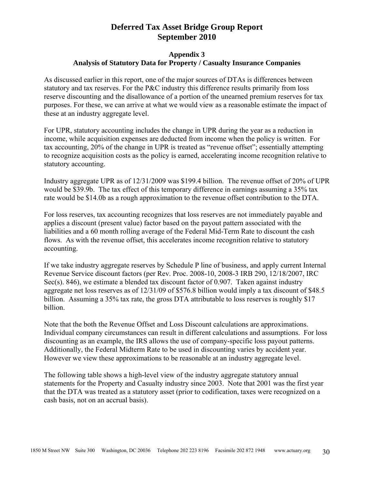#### **Appendix 3 Analysis of Statutory Data for Property / Casualty Insurance Companies**

As discussed earlier in this report, one of the major sources of DTAs is differences between statutory and tax reserves. For the P&C industry this difference results primarily from loss reserve discounting and the disallowance of a portion of the unearned premium reserves for tax purposes. For these, we can arrive at what we would view as a reasonable estimate the impact of these at an industry aggregate level.

For UPR, statutory accounting includes the change in UPR during the year as a reduction in income, while acquisition expenses are deducted from income when the policy is written. For tax accounting, 20% of the change in UPR is treated as "revenue offset"; essentially attempting to recognize acquisition costs as the policy is earned, accelerating income recognition relative to statutory accounting.

Industry aggregate UPR as of 12/31/2009 was \$199.4 billion. The revenue offset of 20% of UPR would be \$39.9b. The tax effect of this temporary difference in earnings assuming a 35% tax rate would be \$14.0b as a rough approximation to the revenue offset contribution to the DTA.

For loss reserves, tax accounting recognizes that loss reserves are not immediately payable and applies a discount (present value) factor based on the payout pattern associated with the liabilities and a 60 month rolling average of the Federal Mid-Term Rate to discount the cash flows. As with the revenue offset, this accelerates income recognition relative to statutory accounting.

If we take industry aggregate reserves by Schedule P line of business, and apply current Internal Revenue Service discount factors (per Rev. Proc. 2008-10, 2008-3 IRB 290, 12/18/2007, IRC Sec(s). 846), we estimate a blended tax discount factor of 0.907. Taken against industry aggregate net loss reserves as of 12/31/09 of \$576.8 billion would imply a tax discount of \$48.5 billion. Assuming a 35% tax rate, the gross DTA attributable to loss reserves is roughly \$17 billion.

Note that the both the Revenue Offset and Loss Discount calculations are approximations. Individual company circumstances can result in different calculations and assumptions. For loss discounting as an example, the IRS allows the use of company-specific loss payout patterns. Additionally, the Federal Midterm Rate to be used in discounting varies by accident year. However we view these approximations to be reasonable at an industry aggregate level.

The following table shows a high-level view of the industry aggregate statutory annual statements for the Property and Casualty industry since 2003. Note that 2001 was the first year that the DTA was treated as a statutory asset (prior to codification, taxes were recognized on a cash basis, not on an accrual basis).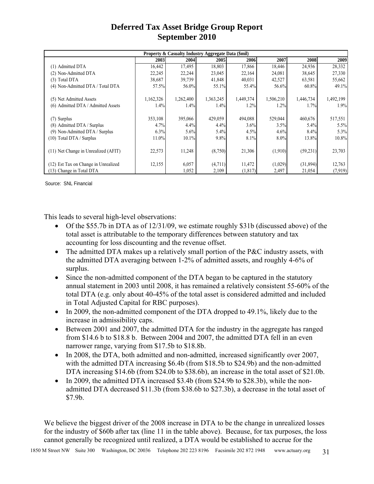| Property & Casualty Industry Aggregate Data (\$mil) |           |           |           |           |           |           |           |  |  |
|-----------------------------------------------------|-----------|-----------|-----------|-----------|-----------|-----------|-----------|--|--|
|                                                     | 2003      | 2004      | 2005      | 2006      | 2007      | 2008      | 2009      |  |  |
| (1) Admitted DTA                                    | 16,442    | 17,495    | 18,803    | 17,866    | 18,446    | 24,936    | 28,332    |  |  |
| (2) Non-Admitted DTA                                | 22,245    | 22,244    | 23,045    | 22,164    | 24,081    | 38,645    | 27,330    |  |  |
| (3) Total DTA                                       | 38,687    | 39,739    | 41,848    | 40,031    | 42,527    | 63,581    | 55,662    |  |  |
| (4) Non-Admitted DTA / Total DTA                    | 57.5%     | 56.0%     | 55.1%     | 55.4%     | 56.6%     | $60.8\%$  | 49.1%     |  |  |
| (5) Net Admitted Assets                             | 1,162,326 | 1,262,400 | 1,363,245 | 1,449,374 | 1,506,210 | 1,446,734 | 1,492,199 |  |  |
| (6) Admitted DTA / Admitted Assets                  | 1.4%      | 1.4%      | 1.4%      | 1.2%      | 1.2%      | 1.7%      | 1.9%      |  |  |
| (7) Surplus                                         | 353,108   | 395,066   | 429,059   | 494,088   | 529,044   | 460,676   | 517,551   |  |  |
| (8) Admitted DTA / Surplus                          | 4.7%      | 4.4%      | $4.4\%$   | 3.6%      | 3.5%      | 5.4%      | 5.5%      |  |  |
| (9) Non-Admitted DTA / Surplus                      | 6.3%      | 5.6%      | 5.4%      | 4.5%      | 4.6%      | 8.4%      | 5.3%      |  |  |
| (10) Total DTA / Surplus                            | 11.0%     | 10.1%     | 9.8%      | 8.1%      | 8.0%      | 13.8%     | 10.8%     |  |  |
| (11) Net Change in Unrealized (AFIT)                | 22,573    | 11,248    | (8,750)   | 21,306    | (1,910)   | (59,231)  | 23,703    |  |  |
| (12) Est Tax on Change in Unrealized                | 12,155    | 6,057     | (4,711)   | 11,472    | (1,029)   | (31,894)  | 12,763    |  |  |
| (13) Change in Total DTA                            |           | 1,052     | 2,109     | (1, 817)  | 2,497     | 21,054    | (7,919)   |  |  |

Source: SNL Financial

This leads to several high-level observations:

- Of the \$55.7b in DTA as of 12/31/09, we estimate roughly \$31b (discussed above) of the total asset is attributable to the temporary differences between statutory and tax accounting for loss discounting and the revenue offset.
- The admitted DTA makes up a relatively small portion of the P&C industry assets, with the admitted DTA averaging between 1-2% of admitted assets, and roughly 4-6% of surplus.
- Since the non-admitted component of the DTA began to be captured in the statutory annual statement in 2003 until 2008, it has remained a relatively consistent 55-60% of the total DTA (e.g. only about 40-45% of the total asset is considered admitted and included in Total Adjusted Capital for RBC purposes).
- In 2009, the non-admitted component of the DTA dropped to 49.1%, likely due to the increase in admissibility caps.
- Between 2001 and 2007, the admitted DTA for the industry in the aggregate has ranged from \$14.6 b to \$18.8 b. Between 2004 and 2007, the admitted DTA fell in an even narrower range, varying from \$17.5b to \$18.8b.
- In 2008, the DTA, both admitted and non-admitted, increased significantly over 2007, with the admitted DTA increasing \$6.4b (from \$18.5b to \$24.9b) and the non-admitted DTA increasing \$14.6b (from \$24.0b to \$38.6b), an increase in the total asset of \$21.0b.
- In 2009, the admitted DTA increased \$3.4b (from \$24.9b to \$28.3b), while the nonadmitted DTA decreased \$11.3b (from \$38.6b to \$27.3b), a decrease in the total asset of \$7.9b.

We believe the biggest driver of the 2008 increase in DTA to be the change in unrealized losses for the industry of \$60b after tax (line 11 in the table above). Because, for tax purposes, the loss cannot generally be recognized until realized, a DTA would be established to accrue for the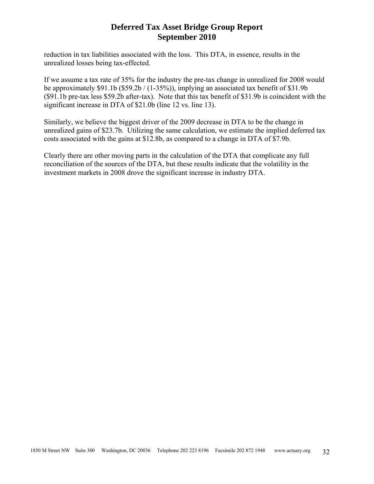reduction in tax liabilities associated with the loss. This DTA, in essence, results in the unrealized losses being tax-effected.

If we assume a tax rate of 35% for the industry the pre-tax change in unrealized for 2008 would be approximately \$91.1b (\$59.2b / (1-35%)), implying an associated tax benefit of \$31.9b (\$91.1b pre-tax less \$59.2b after-tax). Note that this tax benefit of \$31.9b is coincident with the significant increase in DTA of \$21.0b (line 12 vs. line 13).

Similarly, we believe the biggest driver of the 2009 decrease in DTA to be the change in unrealized gains of \$23.7b. Utilizing the same calculation, we estimate the implied deferred tax costs associated with the gains at \$12.8b, as compared to a change in DTA of \$7.9b.

Clearly there are other moving parts in the calculation of the DTA that complicate any full reconciliation of the sources of the DTA, but these results indicate that the volatility in the investment markets in 2008 drove the significant increase in industry DTA.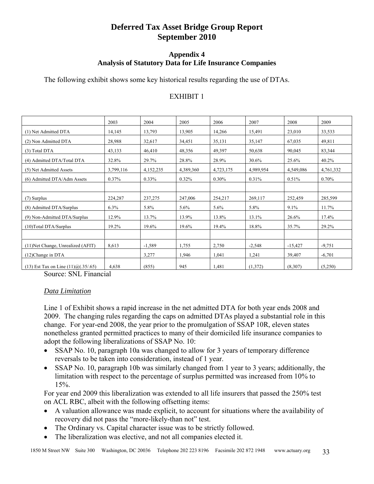### **Appendix 4 Analysis of Statutory Data for Life Insurance Companies**

The following exhibit shows some key historical results regarding the use of DTAs.

### EXHIBIT 1

|                                                 | 2003      | 2004      | 2005      | 2006      | 2007      | 2008      | 2009      |
|-------------------------------------------------|-----------|-----------|-----------|-----------|-----------|-----------|-----------|
| (1) Net Admitted DTA                            | 14,145    | 13,793    | 13,905    | 14,266    | 15,491    | 23,010    | 33,533    |
| (2) Non Admitted DTA                            | 28,988    | 32,617    | 34,451    | 35,131    | 35,147    | 67,035    | 49,811    |
| (3) Total DTA                                   | 43,133    | 46,410    | 48,356    | 49,397    | 50,638    | 90,045    | 83,344    |
| (4) Admitted DTA/Total DTA                      | 32.8%     | 29.7%     | 28.8%     | 28.9%     | 30.6%     | 25.6%     | 40.2%     |
| (5) Net Admitted Assets                         | 3,799,116 | 4,152,235 | 4,389,360 | 4,723,175 | 4,989,954 | 4,549,086 | 4,761,332 |
| (6) Admitted DTA/Adm Assets                     | 0.37%     | $0.33\%$  | 0.32%     | $0.30\%$  | 0.31%     | 0.51%     | 0.70%     |
|                                                 |           |           |           |           |           |           |           |
| (7) Surplus                                     | 224,287   | 237,275   | 247,006   | 254,217   | 269,117   | 252,459   | 285,599   |
| (8) Admitted DTA/Surplus                        | 6.3%      | 5.8%      | 5.6%      | 5.6%      | 5.8%      | 9.1%      | 11.7%     |
| (9) Non-Admitted DTA/Surplus                    | 12.9%     | 13.7%     | 13.9%     | 13.8%     | 13.1%     | 26.6%     | 17.4%     |
| (10) Total DTA/Surplus                          | 19.2%     | 19.6%     | 19.6%     | 19.4%     | 18.8%     | 35.7%     | 29.2%     |
|                                                 |           |           |           |           |           |           |           |
| (11) Net Change, Unrealized (AFIT)              | 8,613     | $-1,589$  | 1,755     | 2,750     | $-2,548$  | $-15,427$ | $-9,751$  |
| (12) Change in DTA                              |           | 3,277     | 1,946     | 1,041     | 1,241     | 39,407    | $-6,701$  |
| $(13)$ Est Tax on Line $(11)$ (a) $(0.35/0.65)$ | 4,638     | (855)     | 945       | 1,481     | (1,372)   | (8,307)   | (5,250)   |

Source: SNL Financial

### *Data Limitation*

Line 1 of Exhibit shows a rapid increase in the net admitted DTA for both year ends 2008 and 2009. The changing rules regarding the caps on admitted DTAs played a substantial role in this change. For year-end 2008, the year prior to the promulgation of SSAP 10R, eleven states nonetheless granted permitted practices to many of their domiciled life insurance companies to adopt the following liberalizations of SSAP No. 10:

- SSAP No. 10, paragraph 10a was changed to allow for 3 years of temporary difference reversals to be taken into consideration, instead of 1 year.
- SSAP No. 10, paragraph 10b was similarly changed from 1 year to 3 years; additionally, the limitation with respect to the percentage of surplus permitted was increased from 10% to 15%.

For year end 2009 this liberalization was extended to all life insurers that passed the 250% test on ACL RBC, albeit with the following offsetting items:

- A valuation allowance was made explicit, to account for situations where the availability of recovery did not pass the "more-likely-than not" test.
- The Ordinary vs. Capital character issue was to be strictly followed.
- The liberalization was elective, and not all companies elected it.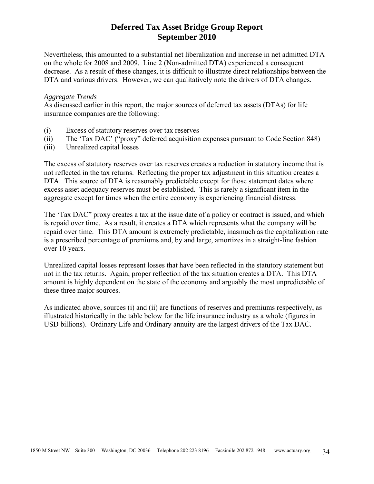Nevertheless, this amounted to a substantial net liberalization and increase in net admitted DTA on the whole for 2008 and 2009. Line 2 (Non-admitted DTA) experienced a consequent decrease. As a result of these changes, it is difficult to illustrate direct relationships between the DTA and various drivers. However, we can qualitatively note the drivers of DTA changes.

#### *Aggregate Trends*

As discussed earlier in this report, the major sources of deferred tax assets (DTAs) for life insurance companies are the following:

- (i) Excess of statutory reserves over tax reserves
- (ii) The 'Tax DAC' ("proxy" deferred acquisition expenses pursuant to Code Section 848)
- (iii) Unrealized capital losses

The excess of statutory reserves over tax reserves creates a reduction in statutory income that is not reflected in the tax returns. Reflecting the proper tax adjustment in this situation creates a DTA. This source of DTA is reasonably predictable except for those statement dates where excess asset adequacy reserves must be established. This is rarely a significant item in the aggregate except for times when the entire economy is experiencing financial distress.

The 'Tax DAC" proxy creates a tax at the issue date of a policy or contract is issued, and which is repaid over time. As a result, it creates a DTA which represents what the company will be repaid over time. This DTA amount is extremely predictable, inasmuch as the capitalization rate is a prescribed percentage of premiums and, by and large, amortizes in a straight-line fashion over 10 years.

Unrealized capital losses represent losses that have been reflected in the statutory statement but not in the tax returns. Again, proper reflection of the tax situation creates a DTA. This DTA amount is highly dependent on the state of the economy and arguably the most unpredictable of these three major sources.

As indicated above, sources (i) and (ii) are functions of reserves and premiums respectively, as illustrated historically in the table below for the life insurance industry as a whole (figures in USD billions). Ordinary Life and Ordinary annuity are the largest drivers of the Tax DAC.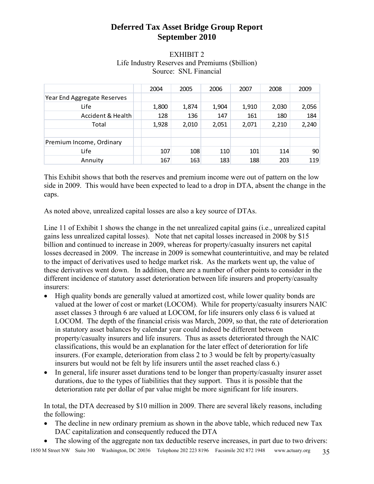### EXHIBIT 2 Life Industry Reserves and Premiums (\$billion) Source: SNL Financial

|                             | 2004  | 2005  | 2006  | 2007  | 2008  | 2009  |
|-----------------------------|-------|-------|-------|-------|-------|-------|
| Year End Aggregate Reserves |       |       |       |       |       |       |
| Life                        | 1,800 | 1,874 | 1,904 | 1,910 | 2,030 | 2,056 |
| Accident & Health           | 128   | 136   | 147   | 161   | 180   | 184   |
| Total                       | 1,928 | 2,010 | 2,051 | 2,071 | 2,210 | 2,240 |
|                             |       |       |       |       |       |       |
| Premium Income, Ordinary    |       |       |       |       |       |       |
| Life                        | 107   | 108   | 110   | 101   | 114   | 90    |
| Annuity                     | 167   | 163   | 183   | 188   | 203   | 119   |

This Exhibit shows that both the reserves and premium income were out of pattern on the low side in 2009. This would have been expected to lead to a drop in DTA, absent the change in the caps.

As noted above, unrealized capital losses are also a key source of DTAs.

Line 11 of Exhibit 1 shows the change in the net unrealized capital gains (i.e., unrealized capital gains less unrealized capital losses). Note that net capital losses increased in 2008 by \$15 billion and continued to increase in 2009, whereas for property/casualty insurers net capital losses decreased in 2009. The increase in 2009 is somewhat counterintuitive, and may be related to the impact of derivatives used to hedge market risk. As the markets went up, the value of these derivatives went down. In addition, there are a number of other points to consider in the different incidence of statutory asset deterioration between life insurers and property/casualty insurers:

- High quality bonds are generally valued at amortized cost, while lower quality bonds are valued at the lower of cost or market (LOCOM). While for property/casualty insurers NAIC asset classes 3 through 6 are valued at LOCOM, for life insurers only class 6 is valued at LOCOM. The depth of the financial crisis was March, 2009, so that, the rate of deterioration in statutory asset balances by calendar year could indeed be different between property/casualty insurers and life insurers. Thus as assets deteriorated through the NAIC classifications, this would be an explanation for the later effect of deterioration for life insurers. (For example, deterioration from class 2 to 3 would be felt by property/casualty insurers but would not be felt by life insurers until the asset reached class 6.)
- In general, life insurer asset durations tend to be longer than property/casualty insurer asset durations, due to the types of liabilities that they support. Thus it is possible that the deterioration rate per dollar of par value might be more significant for life insurers.

In total, the DTA decreased by \$10 million in 2009. There are several likely reasons, including the following:

- The decline in new ordinary premium as shown in the above table, which reduced new Tax DAC capitalization and consequently reduced the DTA
- The slowing of the aggregate non tax deductible reserve increases, in part due to two drivers: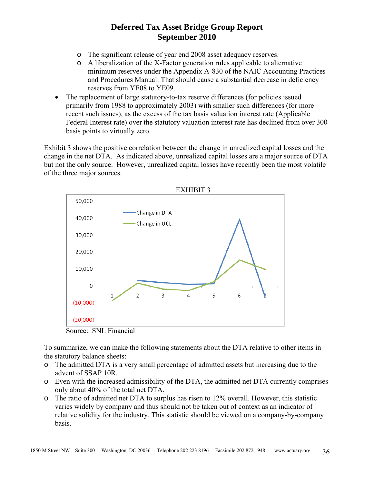- o The significant release of year end 2008 asset adequacy reserves.
- o A liberalization of the X-Factor generation rules applicable to alternative minimum reserves under the Appendix A-830 of the NAIC Accounting Practices and Procedures Manual. That should cause a substantial decrease in deficiency reserves from YE08 to YE09.
- The replacement of large statutory-to-tax reserve differences (for policies issued primarily from 1988 to approximately 2003) with smaller such differences (for more recent such issues), as the excess of the tax basis valuation interest rate (Applicable Federal Interest rate) over the statutory valuation interest rate has declined from over 300 basis points to virtually zero.

Exhibit 3 shows the positive correlation between the change in unrealized capital losses and the change in the net DTA. As indicated above, unrealized capital losses are a major source of DTA but not the only source. However, unrealized capital losses have recently been the most volatile of the three major sources.



To summarize, we can make the following statements about the DTA relative to other items in the statutory balance sheets:

- o The admitted DTA is a very small percentage of admitted assets but increasing due to the advent of SSAP 10R.
- o Even with the increased admissibility of the DTA, the admitted net DTA currently comprises only about 40% of the total net DTA.
- o The ratio of admitted net DTA to surplus has risen to 12% overall. However, this statistic varies widely by company and thus should not be taken out of context as an indicator of relative solidity for the industry. This statistic should be viewed on a company-by-company basis.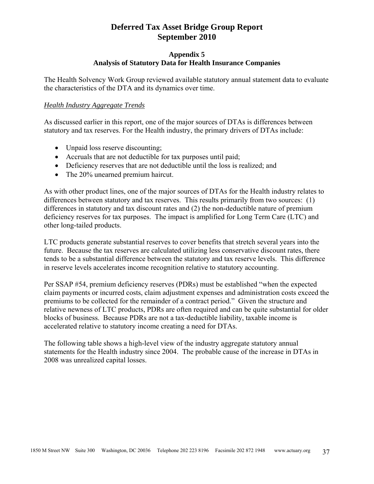#### **Appendix 5 Analysis of Statutory Data for Health Insurance Companies**

The Health Solvency Work Group reviewed available statutory annual statement data to evaluate the characteristics of the DTA and its dynamics over time.

#### *Health Industry Aggregate Trends*

As discussed earlier in this report, one of the major sources of DTAs is differences between statutory and tax reserves. For the Health industry, the primary drivers of DTAs include:

- Unpaid loss reserve discounting;
- Accruals that are not deductible for tax purposes until paid;
- Deficiency reserves that are not deductible until the loss is realized; and
- The 20% unearned premium haircut.

As with other product lines, one of the major sources of DTAs for the Health industry relates to differences between statutory and tax reserves. This results primarily from two sources: (1) differences in statutory and tax discount rates and (2) the non-deductible nature of premium deficiency reserves for tax purposes. The impact is amplified for Long Term Care (LTC) and other long-tailed products.

LTC products generate substantial reserves to cover benefits that stretch several years into the future. Because the tax reserves are calculated utilizing less conservative discount rates, there tends to be a substantial difference between the statutory and tax reserve levels. This difference in reserve levels accelerates income recognition relative to statutory accounting.

Per SSAP #54, premium deficiency reserves (PDRs) must be established "when the expected claim payments or incurred costs, claim adjustment expenses and administration costs exceed the premiums to be collected for the remainder of a contract period." Given the structure and relative newness of LTC products, PDRs are often required and can be quite substantial for older blocks of business. Because PDRs are not a tax-deductible liability, taxable income is accelerated relative to statutory income creating a need for DTAs.

The following table shows a high-level view of the industry aggregate statutory annual statements for the Health industry since 2004. The probable cause of the increase in DTAs in 2008 was unrealized capital losses.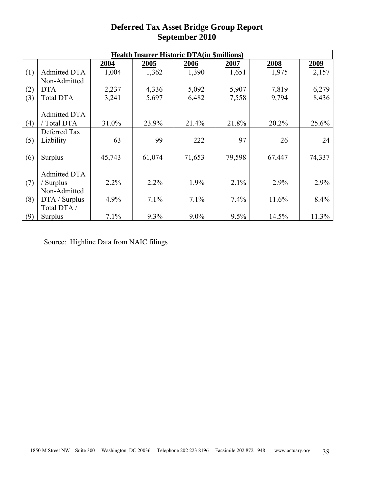| <b>Health Insurer Historic DTA(in \$millions)</b> |                     |        |        |         |        |        |        |
|---------------------------------------------------|---------------------|--------|--------|---------|--------|--------|--------|
|                                                   |                     | 2004   | 2005   | 2006    | 2007   | 2008   | 2009   |
| (1)                                               | <b>Admitted DTA</b> | 1,004  | 1,362  | 1,390   | 1,651  | 1,975  | 2,157  |
|                                                   | Non-Admitted        |        |        |         |        |        |        |
| (2)                                               | <b>DTA</b>          | 2,237  | 4,336  | 5,092   | 5,907  | 7,819  | 6,279  |
| (3)                                               | <b>Total DTA</b>    | 3,241  | 5,697  | 6,482   | 7,558  | 9,794  | 8,436  |
|                                                   |                     |        |        |         |        |        |        |
|                                                   | Admitted DTA        |        |        |         |        |        |        |
| (4)                                               | Total DTA           | 31.0%  | 23.9%  | 21.4%   | 21.8%  | 20.2%  | 25.6%  |
|                                                   | Deferred Tax        |        |        |         |        |        |        |
| (5)                                               | Liability           | 63     | 99     | 222     | 97     | 26     | 24     |
|                                                   |                     |        |        |         |        |        |        |
| (6)                                               | <b>Surplus</b>      | 45,743 | 61,074 | 71,653  | 79,598 | 67,447 | 74,337 |
|                                                   |                     |        |        |         |        |        |        |
|                                                   | Admitted DTA        |        |        |         |        |        |        |
| (7)                                               | ' Surplus           | 2.2%   | 2.2%   | 1.9%    | 2.1%   | 2.9%   | 2.9%   |
|                                                   | Non-Admitted        |        |        |         |        |        |        |
| (8)                                               | DTA / Surplus       | 4.9%   | 7.1%   | 7.1%    | 7.4%   | 11.6%  | 8.4%   |
|                                                   | Total DTA /         |        |        |         |        |        |        |
| (9)                                               | <b>Surplus</b>      | 7.1%   | 9.3%   | $9.0\%$ | 9.5%   | 14.5%  | 11.3%  |

Source: Highline Data from NAIC filings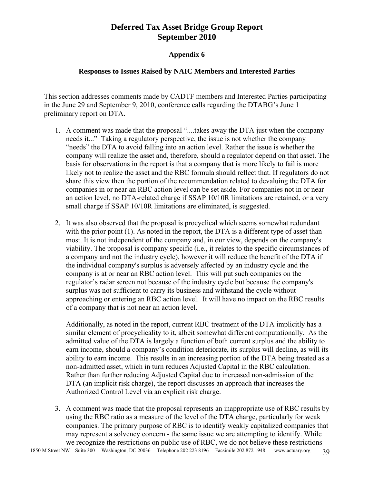#### **Appendix 6**

#### **Responses to Issues Raised by NAIC Members and Interested Parties**

This section addresses comments made by CADTF members and Interested Parties participating in the June 29 and September 9, 2010, conference calls regarding the DTABG's June 1 preliminary report on DTA.

- 1. A comment was made that the proposal "....takes away the DTA just when the company needs it..." Taking a regulatory perspective, the issue is not whether the company "needs" the DTA to avoid falling into an action level. Rather the issue is whether the company will realize the asset and, therefore, should a regulator depend on that asset. The basis for observations in the report is that a company that is more likely to fail is more likely not to realize the asset and the RBC formula should reflect that. If regulators do not share this view then the portion of the recommendation related to devaluing the DTA for companies in or near an RBC action level can be set aside. For companies not in or near an action level, no DTA-related charge if SSAP 10/10R limitations are retained, or a very small charge if SSAP 10/10R limitations are eliminated, is suggested.
- 2. It was also observed that the proposal is procyclical which seems somewhat redundant with the prior point (1). As noted in the report, the DTA is a different type of asset than most. It is not independent of the company and, in our view, depends on the company's viability. The proposal is company specific (i.e., it relates to the specific circumstances of a company and not the industry cycle), however it will reduce the benefit of the DTA if the individual company's surplus is adversely affected by an industry cycle and the company is at or near an RBC action level. This will put such companies on the regulator's radar screen not because of the industry cycle but because the company's surplus was not sufficient to carry its business and withstand the cycle without approaching or entering an RBC action level. It will have no impact on the RBC results of a company that is not near an action level.

Additionally, as noted in the report, current RBC treatment of the DTA implicitly has a similar element of procyclicality to it, albeit somewhat different computationally. As the admitted value of the DTA is largely a function of both current surplus and the ability to earn income, should a company's condition deteriorate, its surplus will decline, as will its ability to earn income. This results in an increasing portion of the DTA being treated as a non-admitted asset, which in turn reduces Adjusted Capital in the RBC calculation. Rather than further reducing Adjusted Capital due to increased non-admission of the DTA (an implicit risk charge), the report discusses an approach that increases the Authorized Control Level via an explicit risk charge.

3. A comment was made that the proposal represents an inappropriate use of RBC results by using the RBC ratio as a measure of the level of the DTA charge, particularly for weak companies. The primary purpose of RBC is to identify weakly capitalized companies that may represent a solvency concern - the same issue we are attempting to identify. While we recognize the restrictions on public use of RBC, we do not believe these restrictions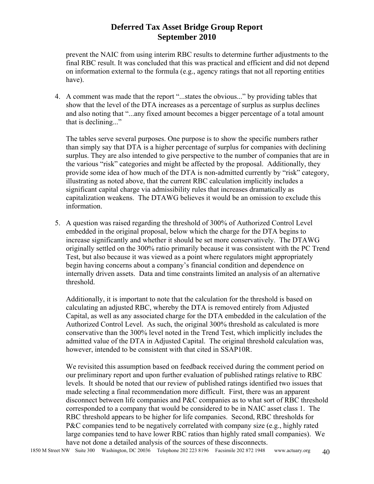prevent the NAIC from using interim RBC results to determine further adjustments to the final RBC result. It was concluded that this was practical and efficient and did not depend on information external to the formula (e.g., agency ratings that not all reporting entities have).

4. A comment was made that the report "...states the obvious..." by providing tables that show that the level of the DTA increases as a percentage of surplus as surplus declines and also noting that "...any fixed amount becomes a bigger percentage of a total amount that is declining..."

The tables serve several purposes. One purpose is to show the specific numbers rather than simply say that DTA is a higher percentage of surplus for companies with declining surplus. They are also intended to give perspective to the number of companies that are in the various "risk" categories and might be affected by the proposal. Additionally, they provide some idea of how much of the DTA is non-admitted currently by "risk" category, illustrating as noted above, that the current RBC calculation implicitly includes a significant capital charge via admissibility rules that increases dramatically as capitalization weakens. The DTAWG believes it would be an omission to exclude this information.

5. A question was raised regarding the threshold of 300% of Authorized Control Level embedded in the original proposal, below which the charge for the DTA begins to increase significantly and whether it should be set more conservatively. The DTAWG originally settled on the 300% ratio primarily because it was consistent with the PC Trend Test, but also because it was viewed as a point where regulators might appropriately begin having concerns about a company's financial condition and dependence on internally driven assets. Data and time constraints limited an analysis of an alternative threshold.

Additionally, it is important to note that the calculation for the threshold is based on calculating an adjusted RBC, whereby the DTA is removed entirely from Adjusted Capital, as well as any associated charge for the DTA embedded in the calculation of the Authorized Control Level. As such, the original 300% threshold as calculated is more conservative than the 300% level noted in the Trend Test, which implicitly includes the admitted value of the DTA in Adjusted Capital. The original threshold calculation was, however, intended to be consistent with that cited in SSAP10R.

We revisited this assumption based on feedback received during the comment period on our preliminary report and upon further evaluation of published ratings relative to RBC levels. It should be noted that our review of published ratings identified two issues that made selecting a final recommendation more difficult. First, there was an apparent disconnect between life companies and P&C companies as to what sort of RBC threshold corresponded to a company that would be considered to be in NAIC asset class 1. The RBC threshold appears to be higher for life companies. Second, RBC thresholds for P&C companies tend to be negatively correlated with company size (e.g., highly rated large companies tend to have lower RBC ratios than highly rated small companies). We have not done a detailed analysis of the sources of these disconnects.